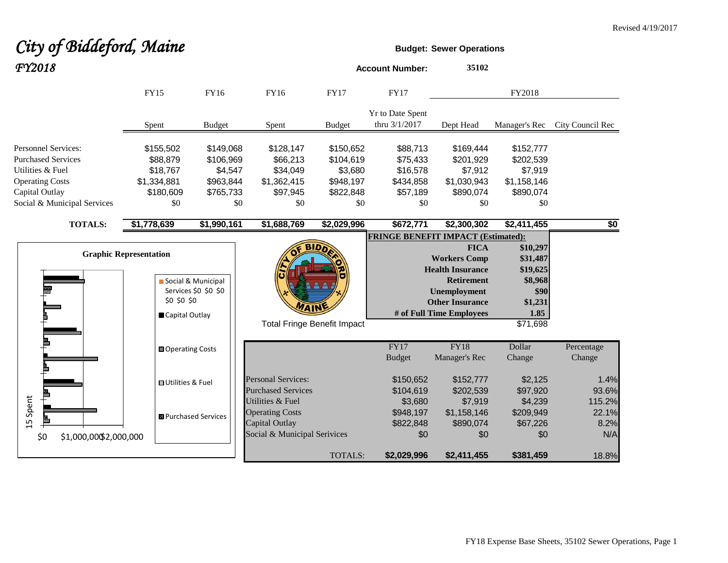#### **City of Biddeford, Maine Budget:** Sewer Operations *FY2018* **Account Number: <sup>35102</sup>** FY15 FY16 FY16 FY17 FY17 FY2018 Yr to Date Spent thru 3/1/2017 Dept Head Manager's Rec City Council Rec Spent Budget Spent Budget Personnel Services: \$155,502 \$149,068 \$128,147 \$150,652 \$88,713 \$169,444 \$152,777 Purchased Services \$88,879 \$106,969 \$66,213 \$104,619 \$75,433 \$201,929 \$202,539 Utilities & Fuel \$18,767 \$4,547 \$34,049 \$3,680 \$16,578 \$7,912 \$7,919 Operating Costs \$1,334,881 \$963,844 \$1,362,415 \$948,197 \$434,858 \$1,030,943 \$1,158,146 Capital Outlay \$180,609 \$765,733 \$97,945 \$822,848 \$57,189 \$890,074 \$890,074 Social & Municipal Services \$0 \$0 \$0 \$0 \$0 \$0 \$0 **TOTALS: \$1,778,639 \$1,990,161 \$1,688,769 \$2,029,996 \$672,771 \$2,300,302 \$2,411,455 \$0 FRINGE BENEFIT IMPACT (Estimated): BID<sub>D</sub> FICA \$10,297 Graphic Representation Workers Comp \$31,487 Health Insurance \$19,625 Retirement \$8,968** Social & Municipal Services \$0 \$0 \$0  **Unemployment \$90** \$0 \$0 \$0  **Other Insurance \$1,231 # of Full Time Employees 1.85** Capital Outlay Total Fringe Benefit Impact \$71,698 FY17 FY18 Dollar Percentage Operating Costs Budget Manager's Rec Change Change Personal Services:  $$150,652$   $$152,777$   $$2,125$  1.4% Utilities & Fuel Purchased Services **\$104,619** \$202,539 \$97,920 \$97.6% 15 Spent Utilities & Fuel **\$2,680** \$7,919 \$4,239 115.2% Operating Costs **\$948,197** \$1,158,146 \$209,949 22.1% **B** Purchased Services Capital Outlay **\$822,848** \$890,074 \$67,226 \$82% Social & Municipal Serivices  $$0$   $$0$   $$0$   $$0$   $$0$   $$0$   $$N/A$ \$0 \$1,000,000\$2,000,000 TOTALS: **\$2,029,996 \$2,411,455 \$381,459** 18.8%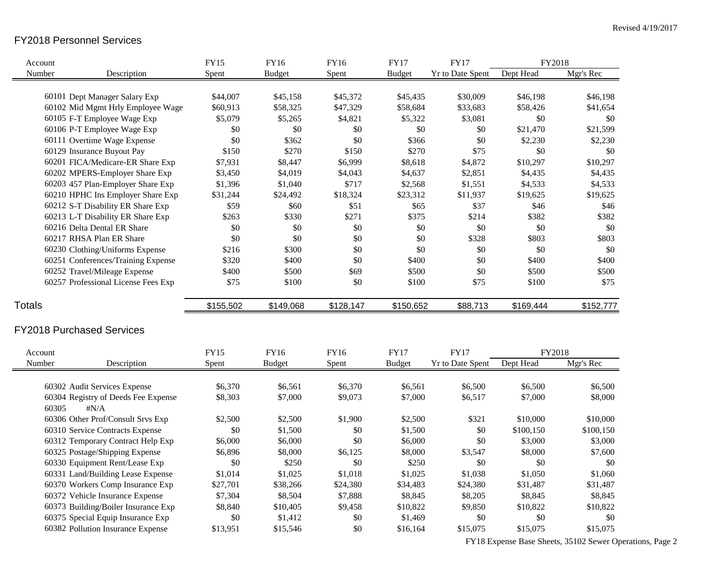# FY2018 Personnel Services

| Account       |                                                     | <b>FY15</b> | <b>FY16</b>   | <b>FY16</b> | <b>FY17</b>   | <b>FY17</b>             | FY2018    |           |
|---------------|-----------------------------------------------------|-------------|---------------|-------------|---------------|-------------------------|-----------|-----------|
| Number        | Description                                         | Spent       | <b>Budget</b> | Spent       | <b>Budget</b> | <b>Yr to Date Spent</b> | Dept Head | Mgr's Rec |
|               |                                                     |             |               |             |               |                         |           |           |
|               | 60101 Dept Manager Salary Exp                       | \$44,007    | \$45,158      | \$45,372    | \$45,435      | \$30,009                | \$46,198  | \$46,198  |
|               | 60102 Mid Mgmt Hrly Employee Wage                   | \$60,913    | \$58,325      | \$47,329    | \$58,684      | \$33,683                | \$58,426  | \$41,654  |
|               | 60105 F-T Employee Wage Exp                         | \$5,079     | \$5,265       | \$4,821     | \$5,322       | \$3,081                 | \$0       | \$0       |
|               | 60106 P-T Employee Wage Exp                         | \$0         | \$0           | \$0         | \$0           | \$0                     | \$21,470  | \$21,599  |
|               | 60111 Overtime Wage Expense                         | \$0         | \$362         | \$0         | \$366         | \$0                     | \$2,230   | \$2,230   |
|               | 60129 Insurance Buyout Pay                          | \$150       | \$270         | \$150       | \$270         | \$75                    | \$0       | \$0       |
|               | 60201 FICA/Medicare-ER Share Exp                    | \$7,931     | \$8,447       | \$6,999     | \$8,618       | \$4,872                 | \$10,297  | \$10,297  |
|               | 60202 MPERS-Employer Share Exp                      | \$3,450     | \$4,019       | \$4,043     | \$4,637       | \$2,851                 | \$4,435   | \$4,435   |
|               | 60203 457 Plan-Employer Share Exp                   | \$1,396     | \$1,040       | \$717       | \$2,568       | \$1,551                 | \$4,533   | \$4,533   |
|               | 60210 HPHC Ins Employer Share Exp                   | \$31,244    | \$24,492      | \$18,324    | \$23,312      | \$11,937                | \$19,625  | \$19,625  |
|               | 60212 S-T Disability ER Share Exp                   | \$59        | \$60          | \$51        | \$65          | \$37                    | \$46      | \$46      |
|               | 60213 L-T Disability ER Share Exp                   | \$263       | \$330         | \$271       | \$375         | \$214                   | \$382     | \$382     |
|               | 60216 Delta Dental ER Share                         | \$0         | \$0           | \$0         | \$0           | \$0                     | \$0       | \$0       |
|               | 60217 RHSA Plan ER Share                            | \$0         | \$0           | \$0         | $\$0$         | \$328                   | \$803     | \$803     |
|               | 60230 Clothing/Uniforms Expense                     | \$216       | \$300         | \$0         | \$0           | \$0                     | \$0       | $\$0$     |
|               | 60251 Conferences/Training Expense                  | \$320       | \$400         | \$0         | \$400         | \$0                     | \$400     | \$400     |
|               | 60252 Travel/Mileage Expense                        | \$400       | \$500         | \$69        | \$500         | \$0                     | \$500     | \$500     |
|               | 60257 Professional License Fees Exp                 | \$75        | \$100         | \$0         | \$100         | \$75                    | \$100     | \$75      |
| <b>Totals</b> |                                                     | \$155,502   | \$149,068     | \$128,147   | \$150,652     | \$88,713                | \$169,444 | \$152,777 |
|               | <b>FY2018 Purchased Services</b>                    |             |               |             |               |                         |           |           |
| Account       |                                                     | <b>FY15</b> | <b>FY16</b>   | <b>FY16</b> | <b>FY17</b>   | <b>FY17</b>             | FY2018    |           |
| Number        | Description                                         | Spent       | <b>Budget</b> | Spent       | <b>Budget</b> | Yr to Date Spent        | Dept Head | Mgr's Rec |
|               |                                                     |             |               |             |               |                         |           |           |
|               | 60302 Audit Services Expense                        | \$6,370     | \$6,561       | \$6,370     | \$6,561       | \$6,500                 | \$6,500   | \$6,500   |
| 60305         | 60304 Registry of Deeds Fee Expense<br>$\sharp N/A$ | \$8,303     | \$7,000       | \$9,073     | \$7,000       | \$6,517                 | \$7,000   | \$8,000   |
|               | 60306 Other Prof/Consult Srvs Exp                   | \$2,500     | \$2,500       | \$1,900     | \$2,500       | \$321                   | \$10,000  | \$10,000  |
|               | 60310 Service Contracts Expense                     | \$0         | \$1,500       | \$0         | \$1,500       | \$0                     | \$100,150 | \$100,150 |
|               | 60312 Temporary Contract Help Exp                   | \$6,000     | \$6,000       | \$0         | \$6,000       | \$0                     | \$3,000   | \$3,000   |
|               | 60325 Postage/Shipping Expense                      | \$6,896     | \$8,000       | \$6,125     | \$8,000       | \$3,547                 | \$8,000   | \$7,600   |
|               |                                                     | \$0         | \$250         | \$0         | \$250         | \$0                     | \$0       | \$0       |
|               | 60330 Equipment Rent/Lease Exp                      |             |               |             |               |                         |           |           |
|               | 60331 Land/Building Lease Expense                   | \$1,014     | \$1,025       | \$1,018     | \$1,025       | \$1,038                 | \$1,050   | \$1,060   |
|               | 60370 Workers Comp Insurance Exp                    | \$27,701    | \$38,266      | \$24,380    | \$34,483      | \$24,380                | \$31,487  | \$31,487  |
|               | 60372 Vehicle Insurance Expense                     | \$7,304     | \$8,504       | \$7,888     | \$8,845       | \$8,205                 | \$8,845   | \$8,845   |
|               | 60373 Building/Boiler Insurance Exp                 | \$8,840     | \$10,405      | \$9,458     | \$10,822      | \$9,850                 | \$10,822  | \$10,822  |
|               | 60375 Special Equip Insurance Exp                   | \$0         | \$1,412       | \$0         | \$1,469       | \$0                     | \$0       | $\$0$     |
|               | 60382 Pollution Insurance Expense                   | \$13,951    | \$15,546      | \$0         | \$16,164      | \$15,075                | \$15,075  | \$15,075  |

FY18 Expense Base Sheets, 35102 Sewer Operations, Page 2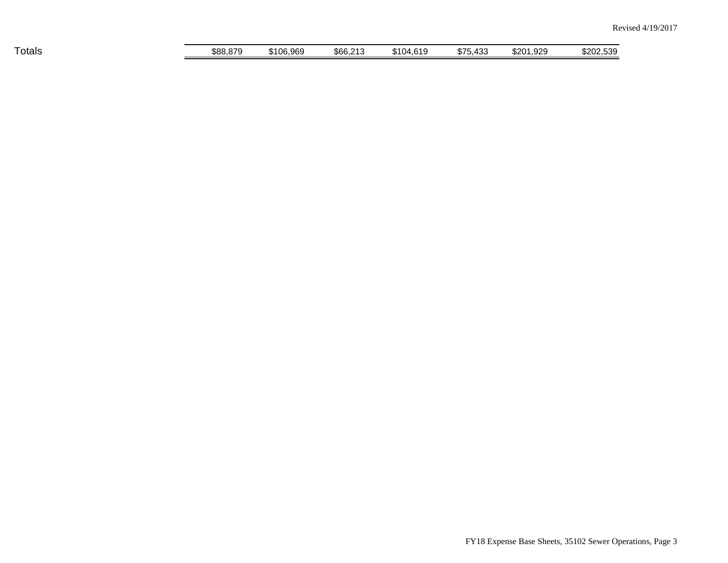| __<br>Totals | \$88.879 | \$106,969 | \$66,213 | 64C<br>\$104 | 100<br>\$75.<br>৲43ਹ | 1.929<br>\$201 | \$202.539 |
|--------------|----------|-----------|----------|--------------|----------------------|----------------|-----------|
|              |          |           |          |              |                      |                |           |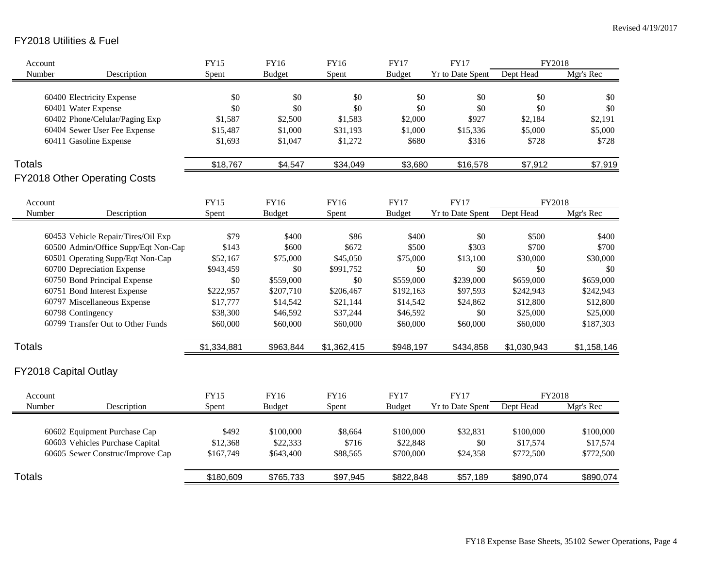# FY2018 Utilities & Fuel

| Account               |                                     | <b>FY15</b> | FY16          | <b>FY16</b> | <b>FY17</b>   | <b>FY17</b>             | FY2018      |             |
|-----------------------|-------------------------------------|-------------|---------------|-------------|---------------|-------------------------|-------------|-------------|
| Number                | Description                         | Spent       | <b>Budget</b> | Spent       | <b>Budget</b> | <b>Yr to Date Spent</b> | Dept Head   | Mgr's Rec   |
|                       |                                     |             |               |             |               |                         |             |             |
|                       | 60400 Electricity Expense           | \$0         | $\$0$         | \$0         | \$0           | \$0                     | \$0         | \$0         |
|                       | 60401 Water Expense                 | \$0         | \$0           | \$0         | \$0           | \$0                     | \$0         | \$0         |
|                       | 60402 Phone/Celular/Paging Exp      | \$1,587     | \$2,500       | \$1,583     | \$2,000       | \$927                   | \$2,184     | \$2,191     |
|                       | 60404 Sewer User Fee Expense        | \$15,487    | \$1,000       | \$31,193    | \$1,000       | \$15,336                | \$5,000     | \$5,000     |
|                       | 60411 Gasoline Expense              | \$1,693     | \$1,047       | \$1,272     | \$680         | \$316                   | \$728       | \$728       |
| <b>Totals</b>         |                                     | \$18,767    | \$4,547       | \$34,049    | \$3,680       | \$16,578                | \$7,912     | \$7,919     |
|                       | FY2018 Other Operating Costs        |             |               |             |               |                         |             |             |
| Account               |                                     | <b>FY15</b> | FY16          | <b>FY16</b> | <b>FY17</b>   | <b>FY17</b>             | FY2018      |             |
| Number                | Description                         | Spent       | <b>Budget</b> | Spent       | <b>Budget</b> | <b>Yr to Date Spent</b> | Dept Head   | Mgr's Rec   |
|                       |                                     |             |               |             |               |                         |             |             |
|                       | 60453 Vehicle Repair/Tires/Oil Exp  | \$79        | \$400         | \$86        | \$400         | \$0                     | \$500       | \$400       |
|                       | 60500 Admin/Office Supp/Eqt Non-Cap | \$143       | \$600         | \$672       | \$500         | \$303                   | \$700       | \$700       |
|                       | 60501 Operating Supp/Eqt Non-Cap    | \$52,167    | \$75,000      | \$45,050    | \$75,000      | \$13,100                | \$30,000    | \$30,000    |
|                       | 60700 Depreciation Expense          | \$943,459   | $\$0$         | \$991,752   | \$0           | \$0                     | \$0         | \$0         |
|                       | 60750 Bond Principal Expense        | \$0         | \$559,000     | \$0         | \$559,000     | \$239,000               | \$659,000   | \$659,000   |
|                       | 60751 Bond Interest Expense         | \$222,957   | \$207,710     | \$206,467   | \$192,163     | \$97,593                | \$242,943   | \$242,943   |
|                       | 60797 Miscellaneous Expense         | \$17,777    | \$14,542      | \$21,144    | \$14,542      | \$24,862                | \$12,800    | \$12,800    |
|                       | 60798 Contingency                   | \$38,300    | \$46,592      | \$37,244    | \$46,592      | \$0                     | \$25,000    | \$25,000    |
|                       | 60799 Transfer Out to Other Funds   | \$60,000    | \$60,000      | \$60,000    | \$60,000      | \$60,000                | \$60,000    | \$187,303   |
| <b>Totals</b>         |                                     | \$1,334,881 | \$963,844     | \$1,362,415 | \$948,197     | \$434,858               | \$1,030,943 | \$1,158,146 |
| FY2018 Capital Outlay |                                     |             |               |             |               |                         |             |             |
| Account               |                                     | <b>FY15</b> | FY16          | <b>FY16</b> | <b>FY17</b>   | <b>FY17</b>             | FY2018      |             |
| Number                | Description                         | Spent       | <b>Budget</b> | Spent       | <b>Budget</b> | <b>Yr to Date Spent</b> | Dept Head   | Mgr's Rec   |
|                       | 60602 Equipment Purchase Cap        | \$492       | \$100,000     | \$8,664     | \$100,000     | \$32,831                | \$100,000   | \$100,000   |
|                       | 60603 Vehicles Purchase Capital     | \$12,368    | \$22,333      | \$716       | \$22,848      | \$0                     | \$17,574    | \$17,574    |
|                       | 60605 Sewer Construc/Improve Cap    | \$167,749   | \$643,400     | \$88,565    | \$700,000     | \$24,358                | \$772,500   | \$772,500   |
|                       |                                     |             |               |             |               |                         |             |             |
| <b>Totals</b>         |                                     | \$180,609   | \$765,733     | \$97,945    | \$822,848     | \$57,189                | \$890,074   | \$890,074   |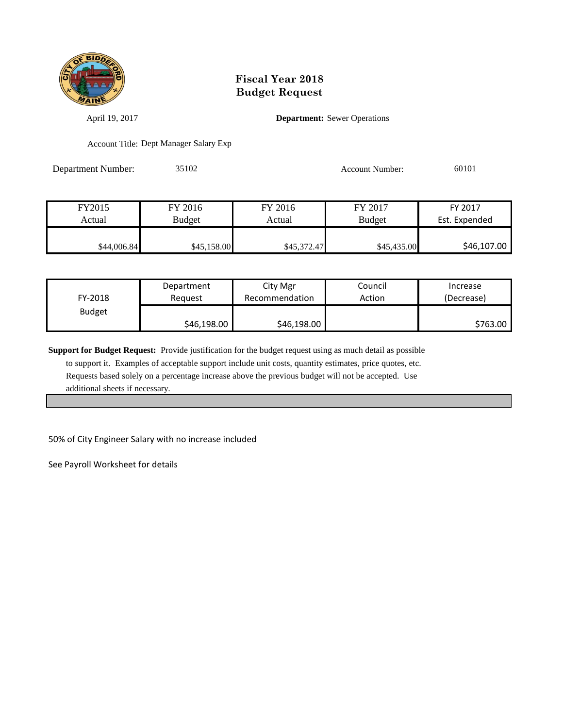

April 19, 2017 **Department:** Sewer Operations

Account Title: Dept Manager Salary Exp

Department Number: 35102 Account Number: 60101

FY2015 FY 2016 FY 2016 FY 2017 FY 2017 Actual Budget Actual Budget Est. Expended \$44,006.84 \$45,158.00 \$45,372.47 \$45,435.00 \$46,107.00

| FY-2018       | Department  | City Mgr       | Council | Increase   |
|---------------|-------------|----------------|---------|------------|
|               | Reguest     | Recommendation | Action  | (Decrease) |
| <b>Budget</b> | \$46,198.00 | \$46,198.00    |         | \$763.00   |

**Support for Budget Request:** Provide justification for the budget request using as much detail as possible

 to support it. Examples of acceptable support include unit costs, quantity estimates, price quotes, etc. Requests based solely on a percentage increase above the previous budget will not be accepted. Use additional sheets if necessary.

50% of City Engineer Salary with no increase included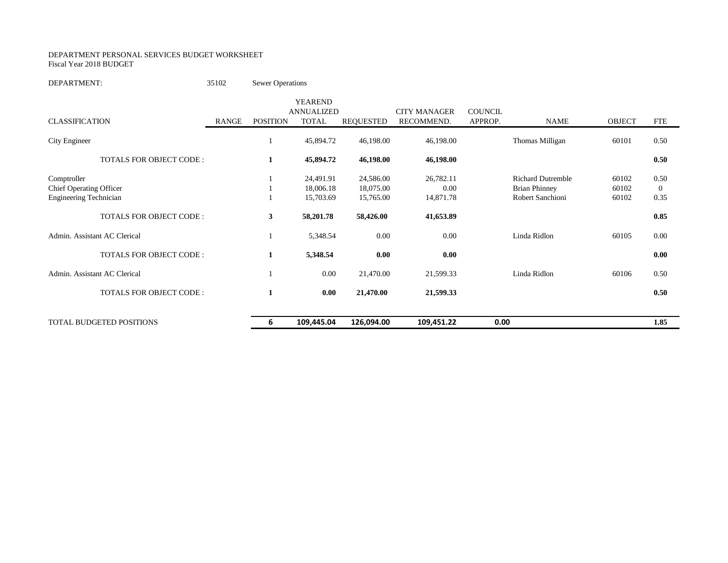#### DEPARTMENT PERSONAL SERVICES BUDGET WORKSHEET Fiscal Year 2018 BUDGET

#### DEPARTMENT: 35102 Sewer Operations

|                                                          |       |                 | <b>YEAREND</b><br><b>ANNUALIZED</b> |                        | <b>CITY MANAGER</b> | <b>COUNCIL</b> |                                          |                |                          |
|----------------------------------------------------------|-------|-----------------|-------------------------------------|------------------------|---------------------|----------------|------------------------------------------|----------------|--------------------------|
| <b>CLASSIFICATION</b>                                    | RANGE | <b>POSITION</b> | <b>TOTAL</b>                        | <b>REQUESTED</b>       | RECOMMEND.          | APPROP.        | <b>NAME</b>                              | <b>OBJECT</b>  | <b>FTE</b>               |
| City Engineer                                            |       |                 | 45,894.72                           | 46,198.00              | 46,198.00           |                | Thomas Milligan                          | 60101          | 0.50                     |
| <b>TOTALS FOR OBJECT CODE:</b>                           |       | 1               | 45,894.72                           | 46,198.00              | 46,198.00           |                |                                          |                | 0.50                     |
| Comptroller                                              |       |                 | 24,491.91                           | 24,586.00              | 26,782.11           |                | <b>Richard Dutremble</b>                 | 60102          | 0.50                     |
| Chief Operating Officer<br><b>Engineering Technician</b> |       |                 | 18,006.18<br>15,703.69              | 18,075.00<br>15,765.00 | 0.00<br>14,871.78   |                | <b>Brian Phinney</b><br>Robert Sanchioni | 60102<br>60102 | $\boldsymbol{0}$<br>0.35 |
| <b>TOTALS FOR OBJECT CODE:</b>                           |       | 3               | 58,201.78                           | 58,426.00              | 41,653.89           |                |                                          |                | 0.85                     |
| Admin. Assistant AC Clerical                             |       |                 | 5,348.54                            | 0.00                   | 0.00                |                | Linda Ridlon                             | 60105          | 0.00                     |
| <b>TOTALS FOR OBJECT CODE:</b>                           |       | 1               | 5,348.54                            | 0.00                   | 0.00                |                |                                          |                | 0.00                     |
| Admin. Assistant AC Clerical                             |       |                 | 0.00                                | 21,470.00              | 21,599.33           |                | Linda Ridlon                             | 60106          | 0.50                     |
| <b>TOTALS FOR OBJECT CODE:</b>                           |       | 1               | 0.00                                | 21,470.00              | 21,599.33           |                |                                          |                | 0.50                     |
| <b>TOTAL BUDGETED POSITIONS</b>                          |       | 6               | 109,445.04                          | 126,094.00             | 109,451.22          | 0.00           |                                          |                | 1.85                     |
|                                                          |       |                 |                                     |                        |                     |                |                                          |                |                          |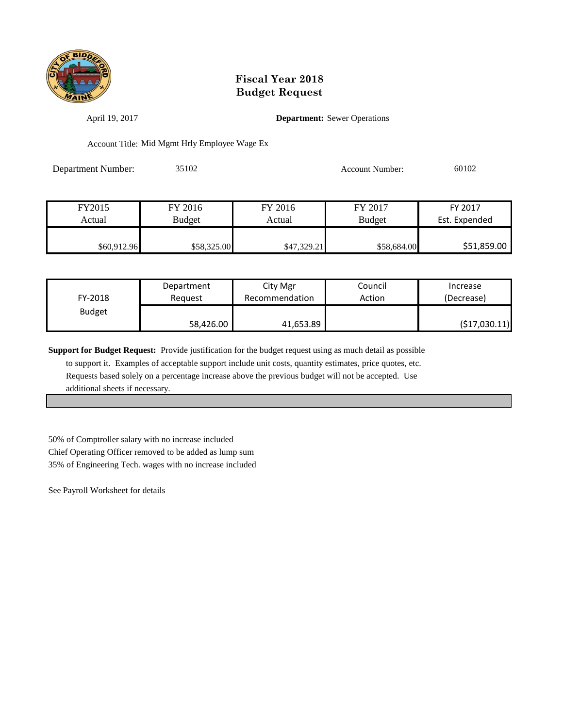

April 19, 2017 **Department:** Sewer Operations

Account Title: Mid Mgmt Hrly Employee Wage Ex

Department Number: 35102 Account Number: 60102

| FY2015      | FY 2016       | FY 2016     | FY 2017       | FY 2017       |
|-------------|---------------|-------------|---------------|---------------|
| Actual      | <b>Budget</b> | Actual      | <b>Budget</b> | Est. Expended |
|             |               |             |               |               |
| \$60,912.96 | \$58,325.00   | \$47,329.21 | \$58,684.00   | \$51,859.00   |

| FY-2018       | Department | City Mgr       | Council | Increase       |
|---------------|------------|----------------|---------|----------------|
|               | Reauest    | Recommendation | Action  | (Decrease)     |
| <b>Budget</b> | 58,426.00  | 41,653.89      |         | ( \$17,030.11) |

**Support for Budget Request:** Provide justification for the budget request using as much detail as possible

 to support it. Examples of acceptable support include unit costs, quantity estimates, price quotes, etc. Requests based solely on a percentage increase above the previous budget will not be accepted. Use additional sheets if necessary.

50% of Comptroller salary with no increase included Chief Operating Officer removed to be added as lump sum 35% of Engineering Tech. wages with no increase included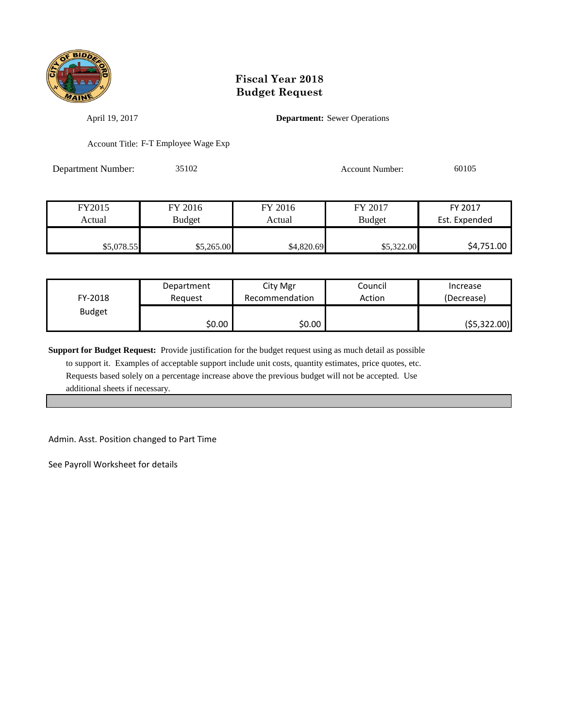

April 19, 2017 **Department:** Sewer Operations

Account Title: F-T Employee Wage Exp

Department Number: 35102 Account Number: 60105

| FY2015     | FY 2016       | FY 2016    | FY 2017       | FY 2017       |
|------------|---------------|------------|---------------|---------------|
| Actual     | <b>Budget</b> | Actual     | <b>Budget</b> | Est. Expended |
|            |               |            |               |               |
| \$5,078.55 | \$5,265.00    | \$4,820.69 | \$5,322.00    | \$4,751.00    |

| FY-2018       | Department | City Mgr       | Council | Increase    |
|---------------|------------|----------------|---------|-------------|
|               | Reauest    | Recommendation | Action  | (Decrease)  |
| <b>Budget</b> | \$0.00     | \$0.00         |         | (55,322.00) |

**Support for Budget Request:** Provide justification for the budget request using as much detail as possible

 to support it. Examples of acceptable support include unit costs, quantity estimates, price quotes, etc. Requests based solely on a percentage increase above the previous budget will not be accepted. Use additional sheets if necessary.

Admin. Asst. Position changed to Part Time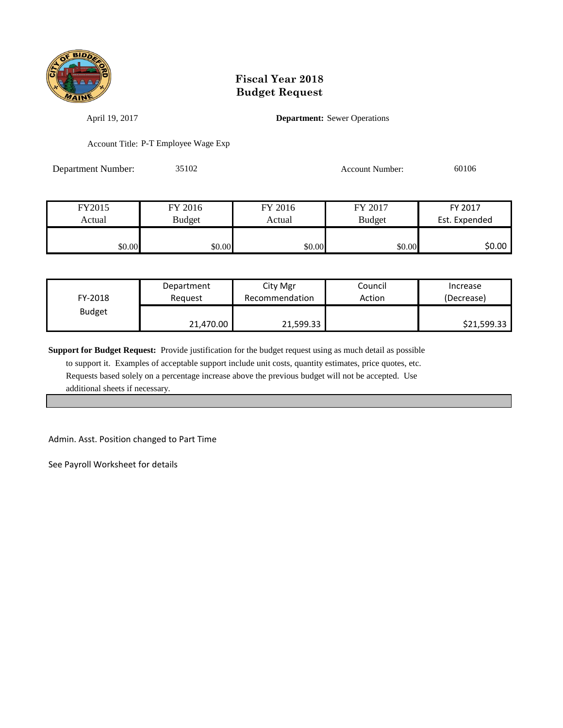

April 19, 2017 **Department:** Sewer Operations

Account Title: P-T Employee Wage Exp

Department Number: 35102 Account Number: 60106

FY2015 FY 2016 FY 2016 FY 2017 FY 2017 Actual Budget Actual Budget Est. Expended \$0.00 \$0.00 \$0.00 \$0.00 \$0.00 \$0.00 \$0.00 \$0.00

| FY-2018       | Department | City Mgr       | Council | Increase    |
|---------------|------------|----------------|---------|-------------|
|               | Reguest    | Recommendation | Action  | (Decrease)  |
| <b>Budget</b> | 21,470.00  | 21,599.33      |         | \$21,599.33 |

**Support for Budget Request:** Provide justification for the budget request using as much detail as possible

 to support it. Examples of acceptable support include unit costs, quantity estimates, price quotes, etc. Requests based solely on a percentage increase above the previous budget will not be accepted. Use additional sheets if necessary.

Admin. Asst. Position changed to Part Time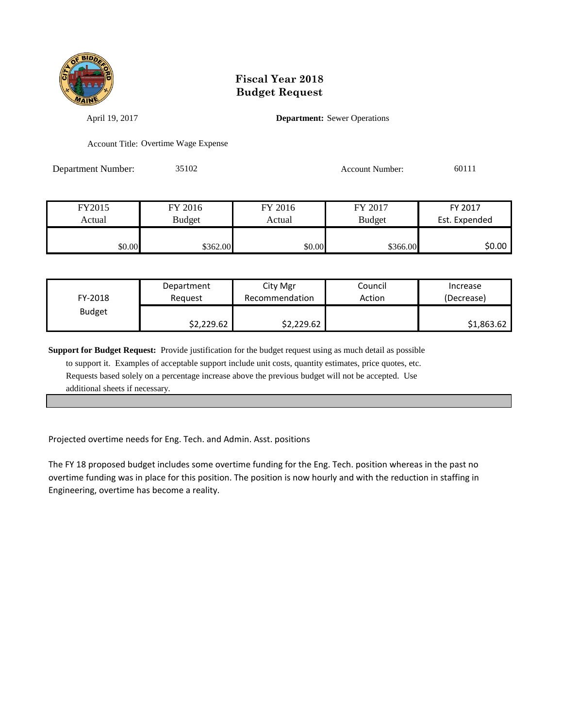

April 19, 2017 **Department:** Sewer Operations

Account Title: Overtime Wage Expense

Department Number: 35102 Account Number: 60111

FY2015 FY 2016 FY 2016 FY 2017 FY 2017 Actual Budget Actual Budget Est. Expended  $$0.00$  \$362.00 \$362.00 \$0.00 \$0.00 \$366.00 \$0.00

| FY-2018       | Department | City Mgr       | Council | Increase   |
|---------------|------------|----------------|---------|------------|
|               | Reguest    | Recommendation | Action  | (Decrease) |
| <b>Budget</b> | \$2,229.62 | \$2,229.62     |         | \$1,863.62 |

**Support for Budget Request:** Provide justification for the budget request using as much detail as possible to support it. Examples of acceptable support include unit costs, quantity estimates, price quotes, etc. Requests based solely on a percentage increase above the previous budget will not be accepted. Use additional sheets if necessary.

Projected overtime needs for Eng. Tech. and Admin. Asst. positions

The FY 18 proposed budget includes some overtime funding for the Eng. Tech. position whereas in the past no overtime funding was in place for this position. The position is now hourly and with the reduction in staffing in Engineering, overtime has become a reality.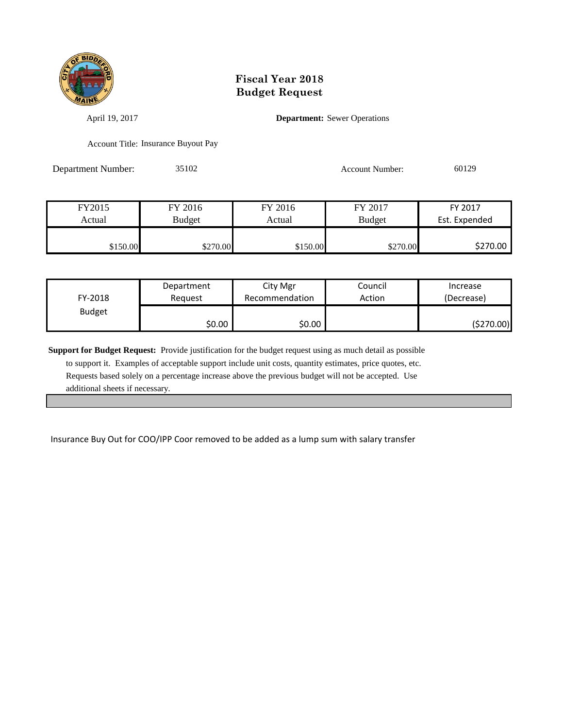

April 19, 2017 **Department:** Sewer Operations

Account Title: Insurance Buyout Pay

Department Number: 35102 Account Number: 60129

FY2015 FY 2016 FY 2016 FY 2017 FY 2017 Actual Budget Actual Budget Est. Expended \$150.00 \$270.00 \$270.00 \$150.00 \$270.00 \$270.00

| FY-2018       | Department | City Mgr       | Council | Increase   |
|---------------|------------|----------------|---------|------------|
|               | Reguest    | Recommendation | Action  | (Decrease) |
| <b>Budget</b> | \$0.00     | \$0.00         |         | (\$270.00) |

**Support for Budget Request:** Provide justification for the budget request using as much detail as possible to support it. Examples of acceptable support include unit costs, quantity estimates, price quotes, etc. Requests based solely on a percentage increase above the previous budget will not be accepted. Use additional sheets if necessary.

Insurance Buy Out for COO/IPP Coor removed to be added as a lump sum with salary transfer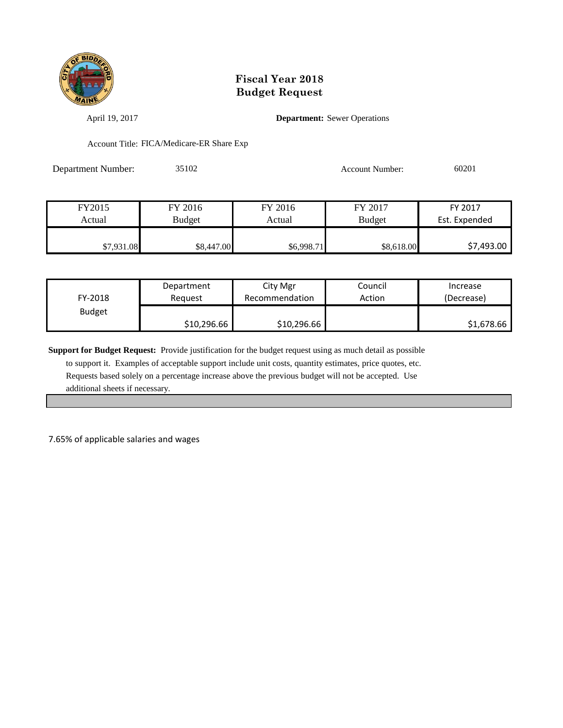

April 19, 2017 **Department:** Sewer Operations

Account Title: FICA/Medicare-ER Share Exp

Department Number: 35102 Account Number: 60201

| FY2015     | FY 2016       | FY 2016    | FY 2017       | FY 2017       |
|------------|---------------|------------|---------------|---------------|
| Actual     | <b>Budget</b> | Actual     | <b>Budget</b> | Est. Expended |
|            |               |            |               |               |
| \$7,931.08 | \$8,447.00    | \$6,998.71 | \$8,618.00    | \$7,493.00    |

| FY-2018       | Department  | City Mgr       | Council | Increase   |
|---------------|-------------|----------------|---------|------------|
|               | Reauest     | Recommendation | Action  | (Decrease) |
| <b>Budget</b> | \$10,296.66 | \$10,296.66    |         | \$1,678.66 |

**Support for Budget Request:** Provide justification for the budget request using as much detail as possible

 to support it. Examples of acceptable support include unit costs, quantity estimates, price quotes, etc. Requests based solely on a percentage increase above the previous budget will not be accepted. Use additional sheets if necessary.

7.65% of applicable salaries and wages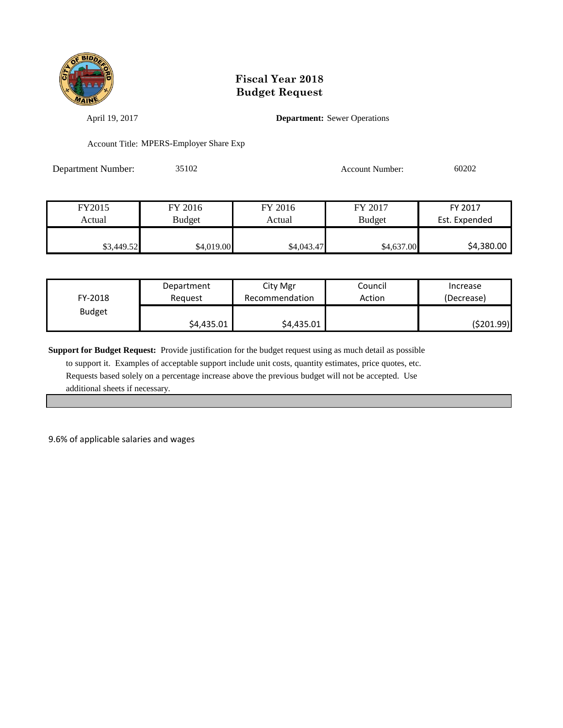

April 19, 2017 **Department:** Sewer Operations

Account Title: MPERS-Employer Share Exp

Department Number: 35102 Account Number: 60202

| FY2015     | FY 2016       | FY 2016    | FY 2017       | FY 2017       |
|------------|---------------|------------|---------------|---------------|
| Actual     | <b>Budget</b> | Actual     | <b>Budget</b> | Est. Expended |
|            |               |            |               |               |
| \$3,449.52 | \$4,019.00    | \$4,043.47 | \$4,637.00    | \$4,380.00    |

| FY-2018       | Department | City Mgr       | Council | Increase   |
|---------------|------------|----------------|---------|------------|
|               | Reauest    | Recommendation | Action  | (Decrease) |
| <b>Budget</b> | \$4,435.01 | \$4,435.01     |         | (\$201.99) |

**Support for Budget Request:** Provide justification for the budget request using as much detail as possible

 to support it. Examples of acceptable support include unit costs, quantity estimates, price quotes, etc. Requests based solely on a percentage increase above the previous budget will not be accepted. Use additional sheets if necessary.

9.6% of applicable salaries and wages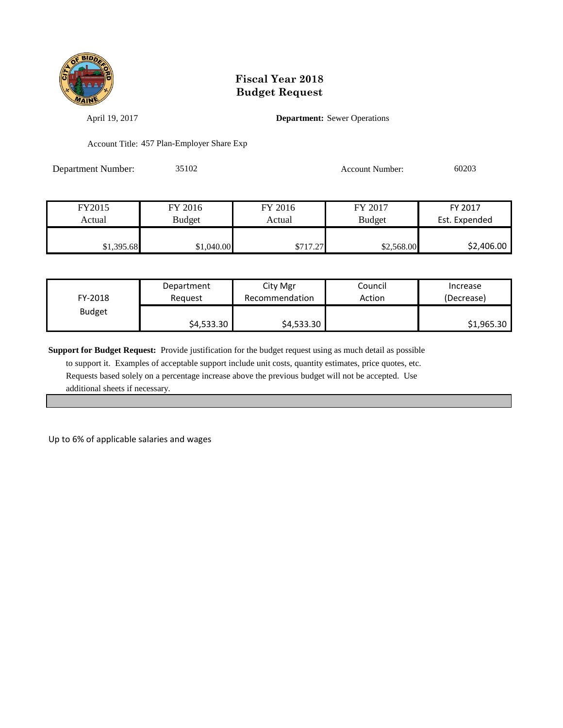

April 19, 2017 **Department:** Sewer Operations

Account Title: 457 Plan-Employer Share Exp

| <b>Department Number:</b> | 35102 | Account Number: | 60203 |
|---------------------------|-------|-----------------|-------|
|                           |       |                 |       |

| FY2015     | FY 2016       | FY 2016  | FY 2017       | FY 2017       |
|------------|---------------|----------|---------------|---------------|
| Actual     | <b>Budget</b> | Actual   | <b>Budget</b> | Est. Expended |
|            |               |          |               |               |
| \$1,395.68 | \$1,040.00    | \$717.27 | \$2,568.00    | \$2,406.00    |

| FY-2018       | Department | City Mgr       | Council | Increase   |
|---------------|------------|----------------|---------|------------|
|               | Reauest    | Recommendation | Action  | (Decrease) |
| <b>Budget</b> | \$4,533.30 | \$4,533.30     |         | \$1,965.30 |

**Support for Budget Request:** Provide justification for the budget request using as much detail as possible

 to support it. Examples of acceptable support include unit costs, quantity estimates, price quotes, etc. Requests based solely on a percentage increase above the previous budget will not be accepted. Use additional sheets if necessary.

Up to 6% of applicable salaries and wages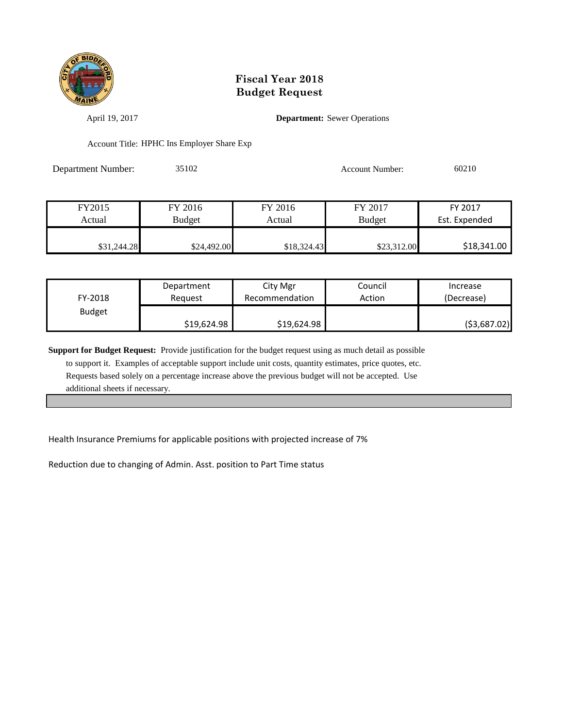

April 19, 2017 **Department:** Sewer Operations

Account Title: HPHC Ins Employer Share Exp

Department Number: 35102 Account Number: 60210

| FY2015      | FY 2016       | FY 2016     | FY 2017       | FY 2017       |
|-------------|---------------|-------------|---------------|---------------|
| Actual      | <b>Budget</b> | Actual      | <b>Budget</b> | Est. Expended |
|             |               |             |               |               |
| \$31,244.28 | \$24,492.00   | \$18,324.43 | \$23,312.00   | \$18,341.00   |

| FY-2018       | Department  | City Mgr       | Council | Increase      |
|---------------|-------------|----------------|---------|---------------|
|               | Reauest     | Recommendation | Action  | (Decrease)    |
| <b>Budget</b> | \$19,624.98 | \$19,624.98    |         | ( \$3,687.02) |

**Support for Budget Request:** Provide justification for the budget request using as much detail as possible to support it. Examples of acceptable support include unit costs, quantity estimates, price quotes, etc. Requests based solely on a percentage increase above the previous budget will not be accepted. Use additional sheets if necessary.

Health Insurance Premiums for applicable positions with projected increase of 7%

Reduction due to changing of Admin. Asst. position to Part Time status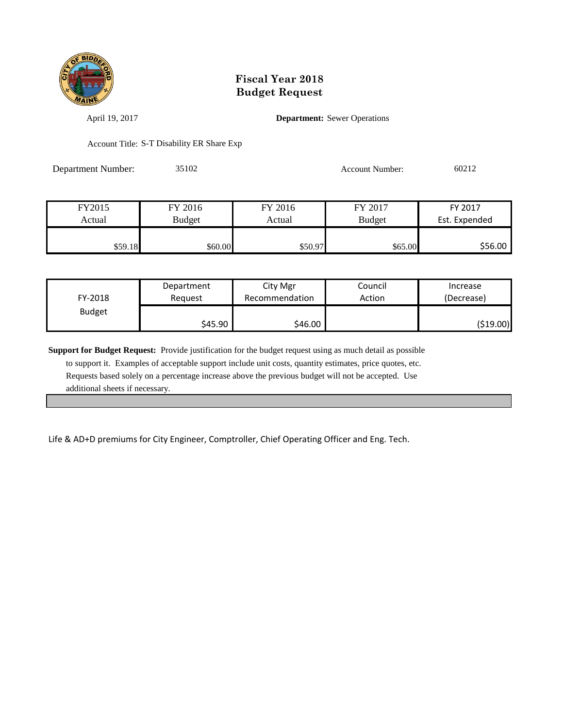

April 19, 2017 **Department:** Sewer Operations

Account Title: S-T Disability ER Share Exp

Department Number: 35102 Account Number: 60212

| FY2015  | FY 2016       | FY 2016 | FY 2017       | FY 2017       |
|---------|---------------|---------|---------------|---------------|
| Actual  | <b>Budget</b> | Actual  | <b>Budget</b> | Est. Expended |
|         |               |         |               |               |
| \$59.18 | \$60.00       | \$50.97 | \$65.00       | \$56.00       |

| FY-2018       | Department | City Mgr       | Council | Increase   |
|---------------|------------|----------------|---------|------------|
|               | Reauest    | Recommendation | Action  | (Decrease) |
| <b>Budget</b> | \$45.90    | \$46.00        |         | (\$19.00)  |

**Support for Budget Request:** Provide justification for the budget request using as much detail as possible to support it. Examples of acceptable support include unit costs, quantity estimates, price quotes, etc. Requests based solely on a percentage increase above the previous budget will not be accepted. Use additional sheets if necessary.

Life & AD+D premiums for City Engineer, Comptroller, Chief Operating Officer and Eng. Tech.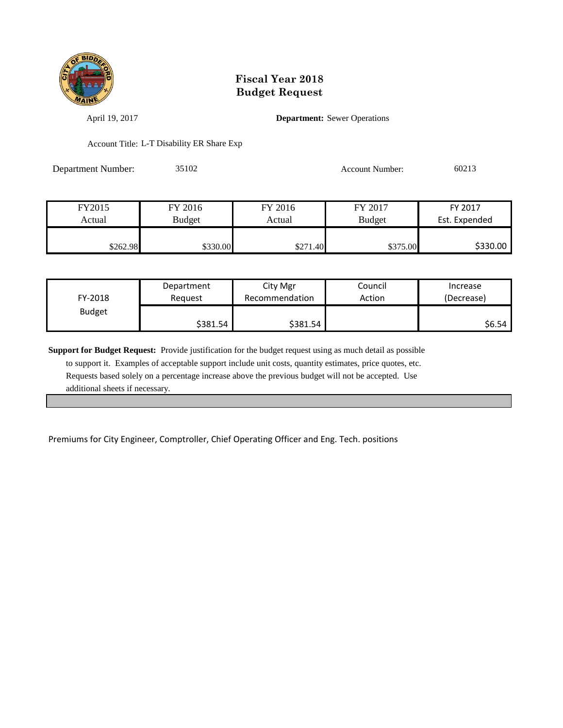

April 19, 2017 **Department:** Sewer Operations

Account Title: L-T Disability ER Share Exp

Department Number: 35102 Account Number: 60213

| FY2015   | FY 2016       | FY 2016  | FY 2017       | FY 2017       |
|----------|---------------|----------|---------------|---------------|
| Actual   | <b>Budget</b> | Actual   | <b>Budget</b> | Est. Expended |
|          |               |          |               |               |
| \$262.98 | \$330.00      | \$271.40 | \$375.00      | \$330.00      |

| FY-2018       | Department | City Mgr       | Council | Increase   |
|---------------|------------|----------------|---------|------------|
|               | Reauest    | Recommendation | Action  | (Decrease) |
| <b>Budget</b> | \$381.54   | \$381.54       |         | \$6.54     |

**Support for Budget Request:** Provide justification for the budget request using as much detail as possible to support it. Examples of acceptable support include unit costs, quantity estimates, price quotes, etc. Requests based solely on a percentage increase above the previous budget will not be accepted. Use additional sheets if necessary.

Premiums for City Engineer, Comptroller, Chief Operating Officer and Eng. Tech. positions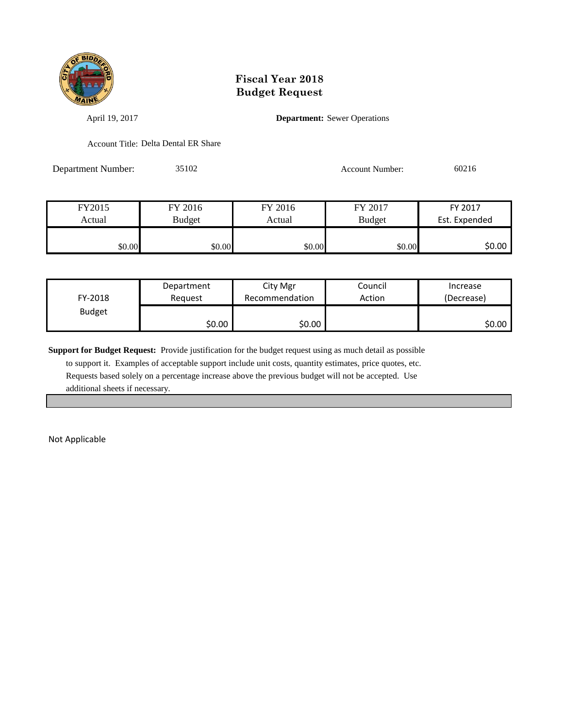

April 19, 2017 **Department:** Sewer Operations

Account Title: Delta Dental ER Share

Department Number: 35102 Account Number: 60216

| FY2015 | FY 2016 | FY 2016 | FY 2017       | FY 2017       |
|--------|---------|---------|---------------|---------------|
| Actual | Budget  | Actual  | <b>Budget</b> | Est. Expended |
|        |         |         |               |               |
| \$0.00 | \$0.00  | \$0.00  | \$0.00        | \$0.00        |

| FY-2018       | Department | City Mgr       | Council | Increase   |
|---------------|------------|----------------|---------|------------|
|               | Reauest    | Recommendation | Action  | (Decrease) |
| <b>Budget</b> | \$0.00     | \$0.00         |         | \$0.00     |

**Support for Budget Request:** Provide justification for the budget request using as much detail as possible

 to support it. Examples of acceptable support include unit costs, quantity estimates, price quotes, etc. Requests based solely on a percentage increase above the previous budget will not be accepted. Use additional sheets if necessary.

Not Applicable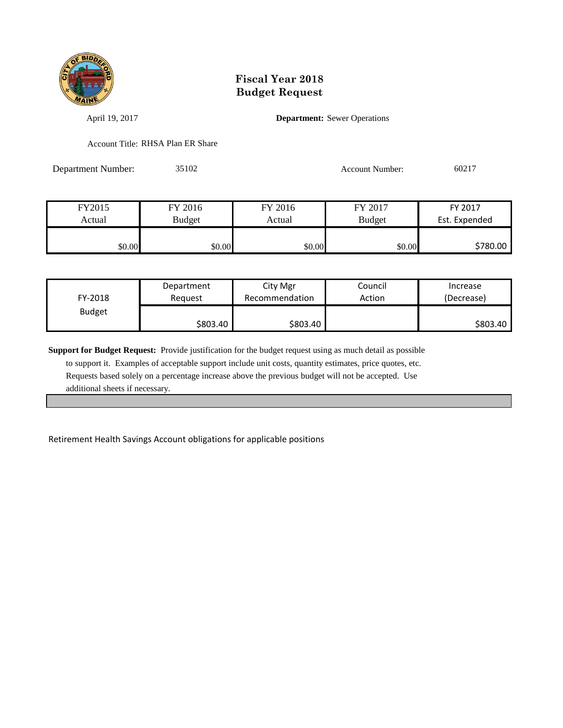

April 19, 2017 **Department:** Sewer Operations

Account Title: RHSA Plan ER Share

Department Number: 35102 Account Number: 60217

| FY2015 | FY 2016       | FY 2016 | FY 2017       | FY 2017       |
|--------|---------------|---------|---------------|---------------|
| Actual | <b>Budget</b> | Actual  | <b>Budget</b> | Est. Expended |
|        |               |         |               |               |
| \$0.00 | \$0.00        | \$0.00  | \$0.00        | \$780.00      |

| FY-2018       | Department | City Mgr       | Council | Increase   |
|---------------|------------|----------------|---------|------------|
|               | Reauest    | Recommendation | Action  | (Decrease) |
| <b>Budget</b> | \$803.40   | \$803.40       |         | \$803.40   |

**Support for Budget Request:** Provide justification for the budget request using as much detail as possible to support it. Examples of acceptable support include unit costs, quantity estimates, price quotes, etc. Requests based solely on a percentage increase above the previous budget will not be accepted. Use additional sheets if necessary.

Retirement Health Savings Account obligations for applicable positions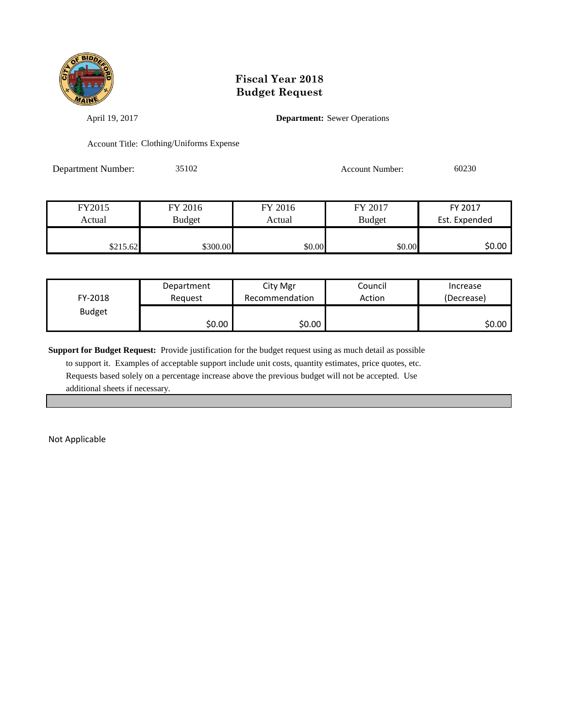

April 19, 2017 **Department:** Sewer Operations

Account Title: Clothing/Uniforms Expense

Department Number: 35102 Account Number: 60230

| FY2015   | FY 2016       | FY 2016 | FY 2017       | FY 2017       |
|----------|---------------|---------|---------------|---------------|
| Actual   | <b>Budget</b> | Actual  | <b>Budget</b> | Est. Expended |
|          |               |         |               |               |
| \$215.62 | \$300.00      | \$0.00  | \$0.00        | \$0.00        |

| FY-2018       | Department | City Mgr       | Council | Increase   |
|---------------|------------|----------------|---------|------------|
|               | Reauest    | Recommendation | Action  | (Decrease) |
| <b>Budget</b> | \$0.00     | \$0.00         |         | \$0.00     |

**Support for Budget Request:** Provide justification for the budget request using as much detail as possible

 to support it. Examples of acceptable support include unit costs, quantity estimates, price quotes, etc. Requests based solely on a percentage increase above the previous budget will not be accepted. Use additional sheets if necessary.

Not Applicable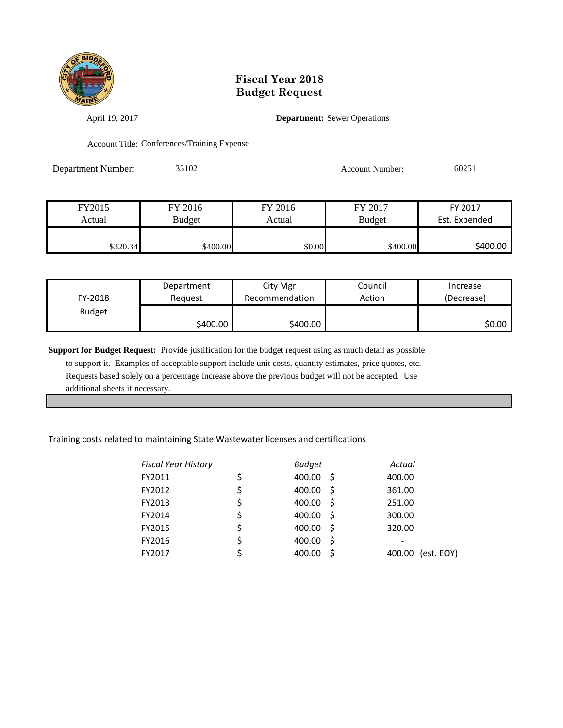

April 19, 2017 **Department:** Sewer Operations

Account Title: Conferences/Training Expense

Department Number: 35102 Account Number: 60251

| FY2015   | FY 2016       | FY 2016 | FY 2017       | FY 2017       |
|----------|---------------|---------|---------------|---------------|
| Actual   | <b>Budget</b> | Actual  | <b>Budget</b> | Est. Expended |
|          |               |         |               |               |
| \$320.34 | \$400.00      | \$0.00  | \$400.00      | \$400.00      |

| FY-2018       | Department | City Mgr       | Council | Increase   |
|---------------|------------|----------------|---------|------------|
|               | Reauest    | Recommendation | Action  | (Decrease) |
| <b>Budget</b> | \$400.00   | \$400.00       |         | 50.00 l    |

**Support for Budget Request:** Provide justification for the budget request using as much detail as possible to support it. Examples of acceptable support include unit costs, quantity estimates, price quotes, etc. Requests based solely on a percentage increase above the previous budget will not be accepted. Use additional sheets if necessary.

#### Training costs related to maintaining State Wastewater licenses and certifications

| <b>Fiscal Year History</b> | <b>Budget</b>       | Actual               |
|----------------------------|---------------------|----------------------|
| FY2011                     | \$<br>400.00<br>- S | 400.00               |
| FY2012                     | \$<br>400.00<br>- S | 361.00               |
| FY2013                     | \$<br>400.00<br>- S | 251.00               |
| FY2014                     | \$<br>400.00<br>- S | 300.00               |
| FY2015                     | \$<br>400.00<br>- S | 320.00               |
| FY2016                     | \$<br>400.00<br>-S  |                      |
| FY2017                     | 400.00              | (est. EOY)<br>400.00 |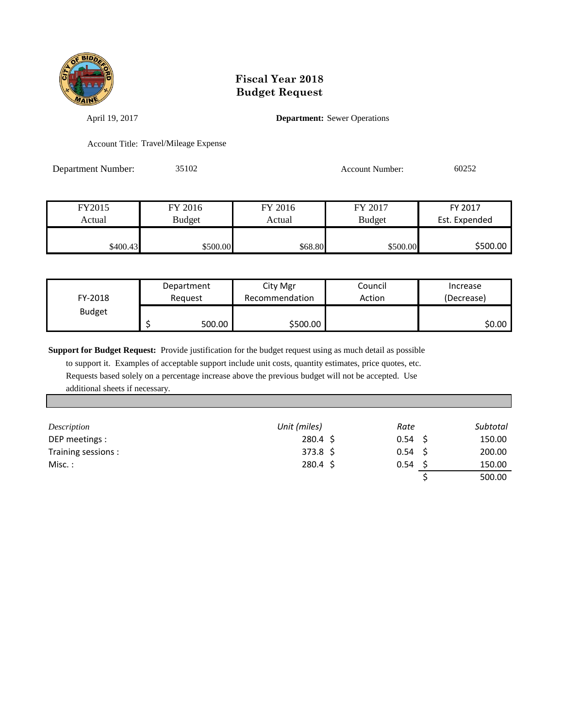

April 19, 2017 **Department:** Sewer Operations

Account Title: Travel/Mileage Expense

Department Number: 35102 Account Number: 60252

| FY2015   | FY 2016       | FY 2016 | FY 2017       | FY 2017       |
|----------|---------------|---------|---------------|---------------|
| Actual   | <b>Budget</b> | Actual  | <b>Budget</b> | Est. Expended |
|          |               |         |               |               |
| \$400.43 | \$500.00      | \$68.80 | \$500.00      | \$500.00      |

| FY-2018       | Department<br>Reauest | City Mgr<br>Recommendation | Council<br>Action | Increase<br>(Decrease) |
|---------------|-----------------------|----------------------------|-------------------|------------------------|
| <b>Budget</b> | 500.00                | \$500.00                   |                   | ا 50.00                |

**Support for Budget Request:** Provide justification for the budget request using as much detail as possible

 to support it. Examples of acceptable support include unit costs, quantity estimates, price quotes, etc. Requests based solely on a percentage increase above the previous budget will not be accepted. Use additional sheets if necessary.

| Description        | Unit (miles)      | Rate              | Subtotal |
|--------------------|-------------------|-------------------|----------|
| DEP meetings :     | $280.4 \;$ \$     | 0.54 <sub>5</sub> | 150.00   |
| Training sessions: | $373.8 \; \simeq$ | 0.54 <sub>5</sub> | 200.00   |
| Misc. :            | $280.4 \; \simeq$ | 0.54              | 150.00   |
|                    |                   |                   | 500.00   |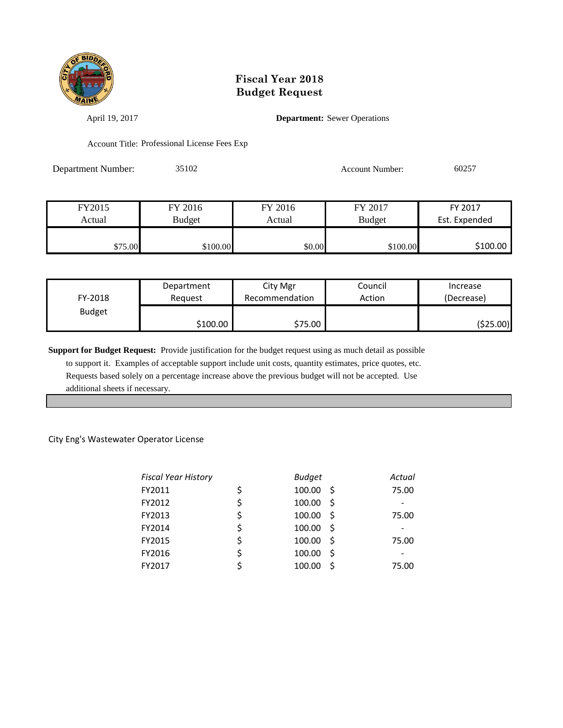

April 19, 2017 **Department:** Sewer Operations

Account Title: Professional License Fees Exp

Department Number: 35102 Account Number: 60257

| FY2015  | FY 2016       | FY 2016 | FY 2017       | FY 2017       |
|---------|---------------|---------|---------------|---------------|
| Actual  | <b>Budget</b> | Actual  | <b>Budget</b> | Est. Expended |
|         |               |         |               |               |
| \$75.00 | \$100.00      | \$0.00  | \$100.00      | \$100.00      |

| FY-2018       | Department | City Mgr       | Council | Increase   |
|---------------|------------|----------------|---------|------------|
|               | Reauest    | Recommendation | Action  | (Decrease) |
| <b>Budget</b> | \$100.00   | \$75.00        |         | (\$25.00)  |

**Support for Budget Request:** Provide justification for the budget request using as much detail as possible to support it. Examples of acceptable support include unit costs, quantity estimates, price quotes, etc.

 Requests based solely on a percentage increase above the previous budget will not be accepted. Use additional sheets if necessary.

#### City Eng's Wastewater Operator License

| <b>Fiscal Year History</b> | <b>Budget</b>      | Actual |
|----------------------------|--------------------|--------|
| FY2011                     | \$<br>100.00<br>-Ŝ | 75.00  |
| FY2012                     | \$<br>100.00<br>-Ś |        |
| FY2013                     | \$<br>100.00<br>Ś  | 75.00  |
| FY2014                     | \$<br>100.00<br>Ŝ. |        |
| FY2015                     | \$<br>100.00<br>-Ś | 75.00  |
| FY2016                     | \$<br>100.00<br>Ś  |        |
| FY2017                     | 100.00             | 75.00  |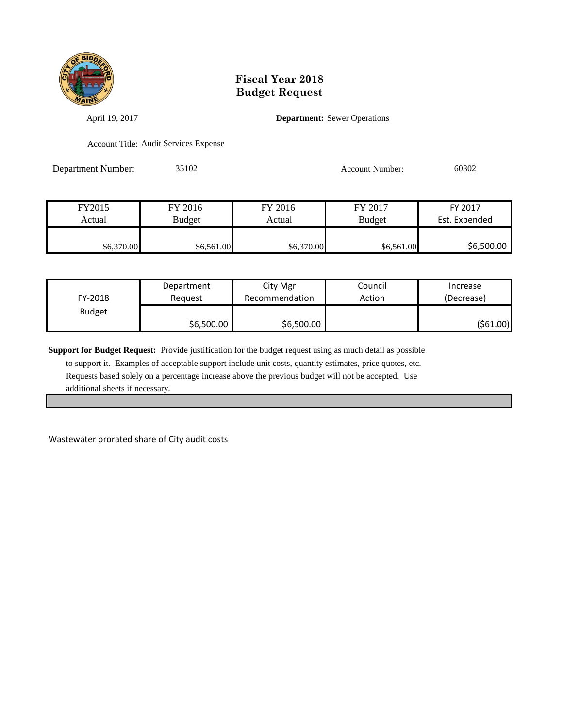

April 19, 2017 **Department:** Sewer Operations

Account Title: Audit Services Expense

Department Number: 35102 Account Number: 60302

| FY2015     | FY 2016       | FY 2016    | FY 2017       | FY 2017       |
|------------|---------------|------------|---------------|---------------|
| Actual     | <b>Budget</b> | Actual     | <b>Budget</b> | Est. Expended |
|            |               |            |               |               |
| \$6,370.00 | \$6,561.00    | \$6,370.00 | \$6,561.00    | \$6,500.00    |

| FY-2018       | Department | City Mgr       | Council | Increase   |
|---------------|------------|----------------|---------|------------|
|               | Reguest    | Recommendation | Action  | (Decrease) |
| <b>Budget</b> | \$6,500.00 | \$6,500.00     |         | (\$61.00)  |

**Support for Budget Request:** Provide justification for the budget request using as much detail as possible

 to support it. Examples of acceptable support include unit costs, quantity estimates, price quotes, etc. Requests based solely on a percentage increase above the previous budget will not be accepted. Use additional sheets if necessary.

Wastewater prorated share of City audit costs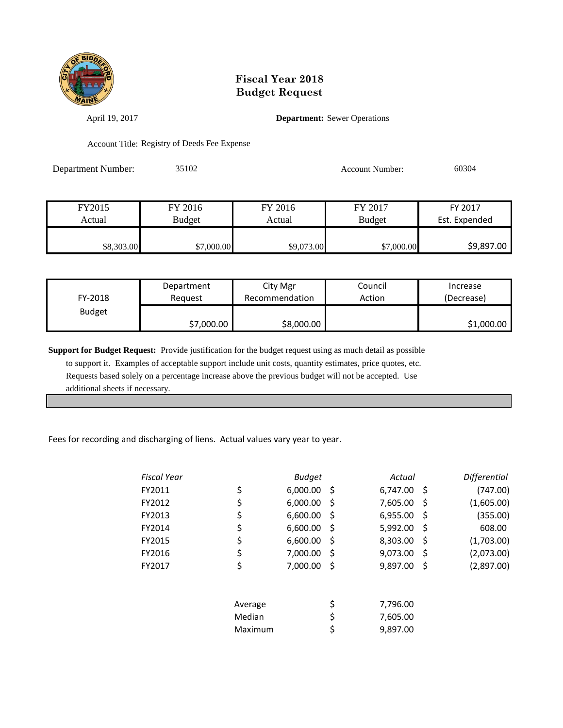

April 19, 2017 **Department:** Sewer Operations

Account Title: Registry of Deeds Fee Expense

Department Number: 35102 Account Number: 60304

| FY2015     | FY 2016       | FY 2016    | FY 2017       | FY 2017       |
|------------|---------------|------------|---------------|---------------|
| Actual     | <b>Budget</b> | Actual     | <b>Budget</b> | Est. Expended |
|            |               |            |               |               |
| \$8,303.00 | \$7,000.00    | \$9,073.00 | \$7,000.00    | \$9,897.00    |

| FY-2018       | Department | City Mgr       | Council | Increase   |
|---------------|------------|----------------|---------|------------|
|               | Reguest    | Recommendation | Action  | (Decrease) |
| <b>Budget</b> | \$7,000.00 | \$8,000.00     |         | \$1,000.00 |

**Support for Budget Request:** Provide justification for the budget request using as much detail as possible to support it. Examples of acceptable support include unit costs, quantity estimates, price quotes, etc. Requests based solely on a percentage increase above the previous budget will not be accepted. Use additional sheets if necessary.

Fees for recording and discharging of liens. Actual values vary year to year.

| <b>Fiscal Year</b> |         | <b>Budget</b> |     | Actual      |              | <b>Differential</b> |
|--------------------|---------|---------------|-----|-------------|--------------|---------------------|
| FY2011             | \$      | 6,000.00      | -\$ | 6,747.00 \$ |              | (747.00)            |
| FY2012             | \$      | 6,000.00      | \$, | 7,605.00    | Ŝ            | (1,605.00)          |
| FY2013             | \$      | 6,600.00      | S   | 6,955.00    | S            | (355.00)            |
| FY2014             | \$      | 6,600.00      | \$  | 5,992.00    | S            | 608.00              |
| FY2015             | \$      | 6,600.00      | \$, | 8,303.00    | S            | (1,703.00)          |
| FY2016             | \$      | 7,000.00      | S   | 9,073.00    | <sub>S</sub> | (2,073.00)          |
| FY2017             | \$      | 7,000.00      | \$  | 9,897.00    | Ŝ            | (2,897.00)          |
|                    |         |               |     |             |              |                     |
|                    | Average |               | \$  | 7,796.00    |              |                     |
|                    | Median  |               | \$  | 7,605.00    |              |                     |
|                    | Maximum |               | \$  | 9,897.00    |              |                     |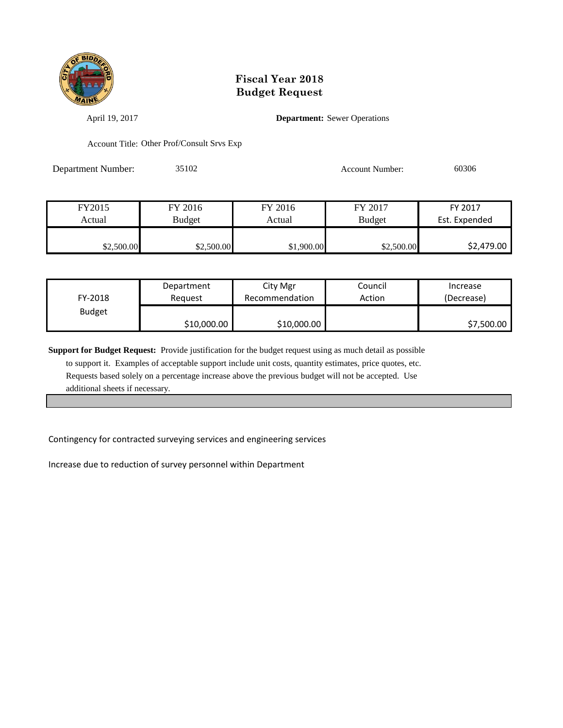

April 19, 2017 **Department:** Sewer Operations

Account Title: Other Prof/Consult Srvs Exp

Department Number: 35102 Account Number: 60306

| FY2015     | FY 2016    | FY 2016    | FY 2017       | FY 2017       |
|------------|------------|------------|---------------|---------------|
| Actual     | Budget     | Actual     | <b>Budget</b> | Est. Expended |
|            |            |            |               |               |
| \$2,500.00 | \$2,500.00 | \$1,900.00 | \$2,500.00    | \$2,479.00    |

| FY-2018       | Department  | City Mgr       | Council | Increase   |
|---------------|-------------|----------------|---------|------------|
|               | Reauest     | Recommendation | Action  | (Decrease) |
| <b>Budget</b> | \$10,000.00 | \$10,000.00    |         | \$7,500.00 |

**Support for Budget Request:** Provide justification for the budget request using as much detail as possible to support it. Examples of acceptable support include unit costs, quantity estimates, price quotes, etc. Requests based solely on a percentage increase above the previous budget will not be accepted. Use additional sheets if necessary.

Contingency for contracted surveying services and engineering services

Increase due to reduction of survey personnel within Department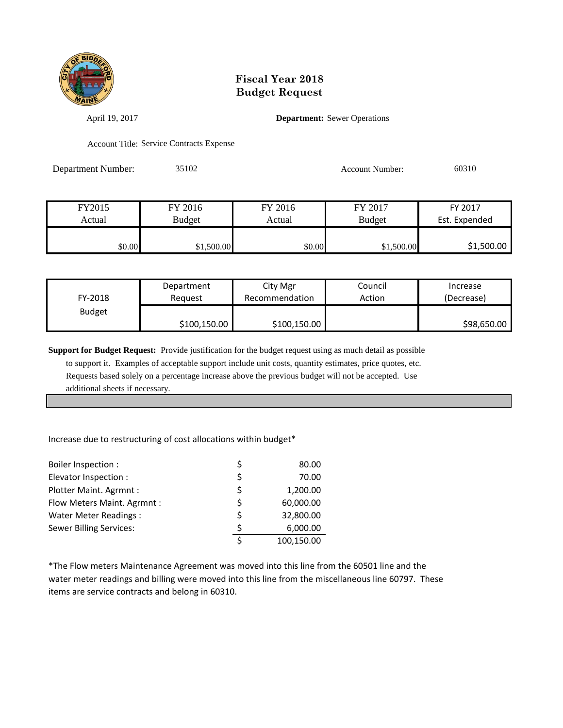

April 19, 2017 **Department:** Sewer Operations

Account Title: Service Contracts Expense

Department Number: 35102 Account Number: 60310

| FY2015 | FY 2016       | FY 2016 | FY 2017       | FY 2017       |
|--------|---------------|---------|---------------|---------------|
| Actual | <b>Budget</b> | Actual  | <b>Budget</b> | Est. Expended |
|        |               |         |               |               |
| \$0.00 | \$1,500.00    | \$0.00  | \$1,500.00    | \$1,500.00    |

| FY-2018       | Department   | City Mgr       | Council | Increase    |
|---------------|--------------|----------------|---------|-------------|
|               | Reauest      | Recommendation | Action  | (Decrease)  |
| <b>Budget</b> | \$100,150.00 | \$100,150.00   |         | \$98,650.00 |

**Support for Budget Request:** Provide justification for the budget request using as much detail as possible

 to support it. Examples of acceptable support include unit costs, quantity estimates, price quotes, etc. Requests based solely on a percentage increase above the previous budget will not be accepted. Use additional sheets if necessary.

#### Increase due to restructuring of cost allocations within budget\*

| Boiler Inspection :            |    | 80.00      |
|--------------------------------|----|------------|
| Elevator Inspection :          | \$ | 70.00      |
| Plotter Maint. Agrmnt:         | \$ | 1,200.00   |
| Flow Meters Maint. Agrmnt :    | \$ | 60,000.00  |
| Water Meter Readings:          | \$ | 32,800.00  |
| <b>Sewer Billing Services:</b> | ς  | 6,000.00   |
|                                |    | 100,150.00 |

\*The Flow meters Maintenance Agreement was moved into this line from the 60501 line and the water meter readings and billing were moved into this line from the miscellaneous line 60797. These items are service contracts and belong in 60310.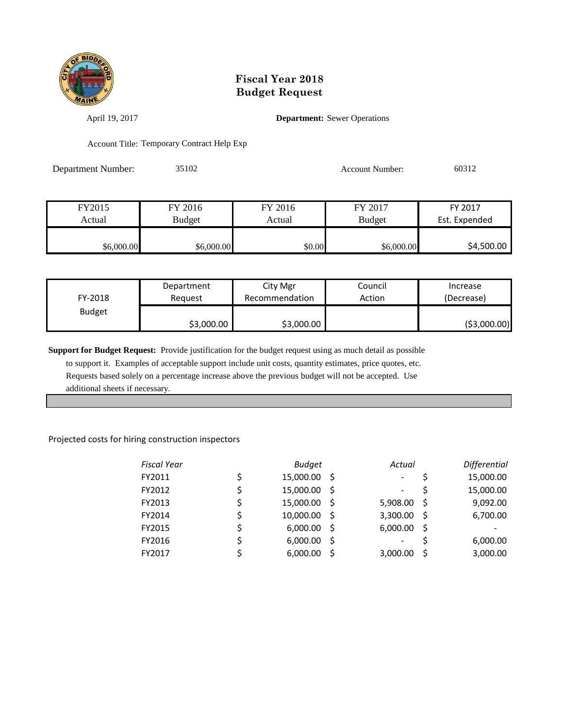

April 19, 2017 **Department:** Sewer Operations

Account Title: Temporary Contract Help Exp

Department Number: 35102 Account Number: 60312

| FY2015     | FY 2016       | FY 2016 | FY 2017       | FY 2017       |
|------------|---------------|---------|---------------|---------------|
| Actual     | <b>Budget</b> | Actual  | <b>Budget</b> | Est. Expended |
|            |               |         |               |               |
| \$6,000.00 | \$6,000.00    | \$0.00  | \$6,000.00    | \$4,500.00    |

| FY-2018       | Department | City Mgr       | Council | Increase      |
|---------------|------------|----------------|---------|---------------|
|               | Reauest    | Recommendation | Action  | (Decrease)    |
| <b>Budget</b> | \$3,000.00 | \$3,000.00     |         | ( \$3,000.00) |

**Support for Budget Request:** Provide justification for the budget request using as much detail as possible

 to support it. Examples of acceptable support include unit costs, quantity estimates, price quotes, etc. Requests based solely on a percentage increase above the previous budget will not be accepted. Use additional sheets if necessary.

#### Projected costs for hiring construction inspectors

| <b>Fiscal Year</b> |    | <b>Budget</b> |     | Actual                   |     | Differential |
|--------------------|----|---------------|-----|--------------------------|-----|--------------|
| FY2011             | \$ | 15,000.00 \$  |     | $\overline{\phantom{a}}$ | S   | 15,000.00    |
| FY2012             | Ś  | 15,000.00     | - S | $\overline{\phantom{a}}$ |     | 15,000.00    |
| FY2013             | \$ | 15,000.00     | - S | 5,908.00                 | -S  | 9,092.00     |
| FY2014             | \$ | 10,000.00 \$  |     | 3,300.00                 | - S | 6,700.00     |
| FY2015             | \$ | 6,000.00      | - S | 6,000.00                 | - S |              |
| FY2016             | \$ | 6,000.00      | .S  | $\overline{\phantom{a}}$ |     | 6,000.00     |
| FY2017             |    | 6,000.00      |     | 3,000.00                 | -S  | 3,000.00     |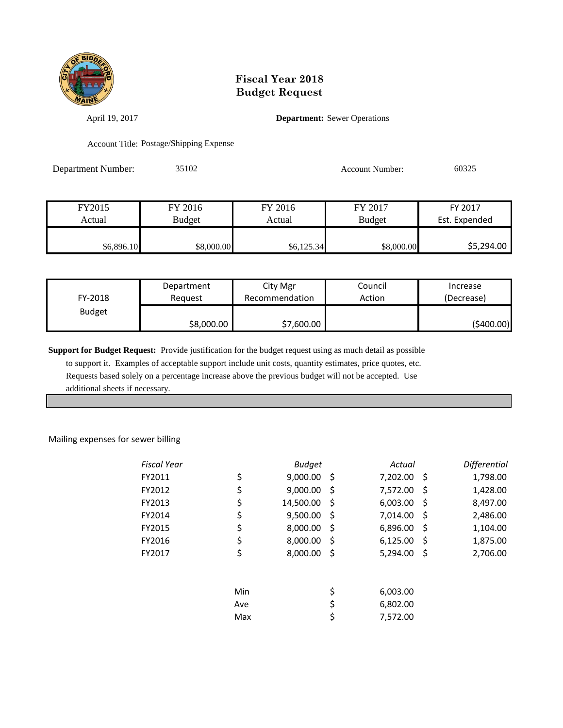

April 19, 2017 **Department:** Sewer Operations

Account Title: Postage/Shipping Expense

Department Number: 35102 Account Number: 60325

| FY2015     | FY 2016       | FY 2016    | FY 2017       | FY 2017       |
|------------|---------------|------------|---------------|---------------|
| Actual     | <b>Budget</b> | Actual     | <b>Budget</b> | Est. Expended |
|            |               |            |               |               |
| \$6,896.10 | \$8,000.00    | \$6,125.34 | \$8,000.00    | \$5,294.00    |

| FY-2018       | Department | City Mgr       | Council | Increase   |
|---------------|------------|----------------|---------|------------|
|               | Reauest    | Recommendation | Action  | (Decrease) |
| <b>Budget</b> | \$8,000.00 | \$7,600.00     |         | (\$400.00) |

**Support for Budget Request:** Provide justification for the budget request using as much detail as possible

 to support it. Examples of acceptable support include unit costs, quantity estimates, price quotes, etc. Requests based solely on a percentage increase above the previous budget will not be accepted. Use additional sheets if necessary.

#### Mailing expenses for sewer billing

| Fiscal Year |     | <b>Budget</b> |     | Actual   |     | Differential |
|-------------|-----|---------------|-----|----------|-----|--------------|
| FY2011      | \$  | 9,000.00      | -\$ | 7,202.00 | \$  | 1,798.00     |
| FY2012      | \$  | 9,000.00      | \$  | 7,572.00 | \$  | 1,428.00     |
| FY2013      | \$  | 14,500.00     | \$  | 6,003.00 | \$  | 8,497.00     |
| FY2014      | \$  | 9,500.00      | \$  | 7,014.00 | \$, | 2,486.00     |
| FY2015      | \$  | 8,000.00      | \$  | 6,896.00 | \$, | 1,104.00     |
| FY2016      | \$  | 8,000.00      | \$  | 6,125.00 | \$, | 1,875.00     |
| FY2017      | \$  | 8,000.00      | \$  | 5,294.00 | \$, | 2,706.00     |
|             | Min |               | \$  | 6,003.00 |     |              |
|             | Ave |               | \$  | 6,802.00 |     |              |
|             | Max |               | \$  | 7.572.00 |     |              |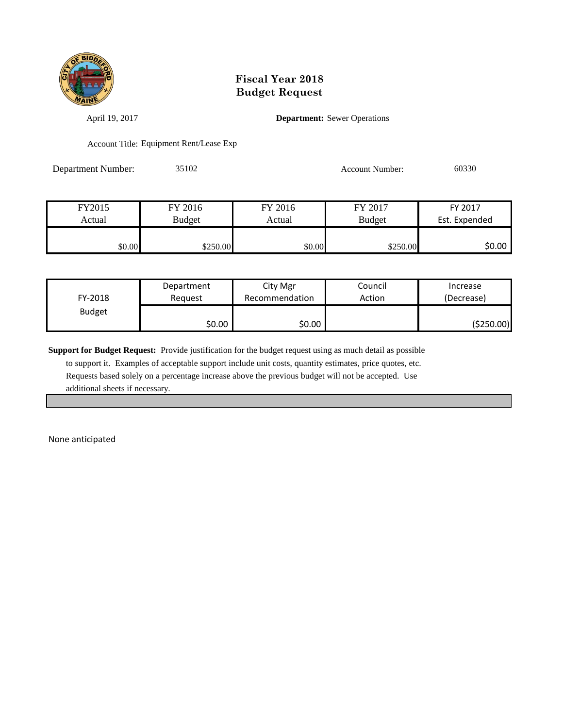

April 19, 2017 **Department:** Sewer Operations

Account Title: Equipment Rent/Lease Exp

Department Number: 35102 Account Number: 60330

| FY2015 | FY 2016  | FY 2016<br>FY 2017 |               | FY 2017       |
|--------|----------|--------------------|---------------|---------------|
| Actual | Budget   | Actual             | <b>Budget</b> | Est. Expended |
|        |          |                    |               |               |
| \$0.00 | \$250.00 | \$0.00             | \$250.00      | \$0.00 l      |

| FY-2018       | Department | City Mgr       | Council | Increase   |
|---------------|------------|----------------|---------|------------|
|               | Reauest    | Recommendation | Action  | (Decrease) |
| <b>Budget</b> | \$0.00     | \$0.00         |         | (\$250.00) |

**Support for Budget Request:** Provide justification for the budget request using as much detail as possible

 to support it. Examples of acceptable support include unit costs, quantity estimates, price quotes, etc. Requests based solely on a percentage increase above the previous budget will not be accepted. Use additional sheets if necessary.

None anticipated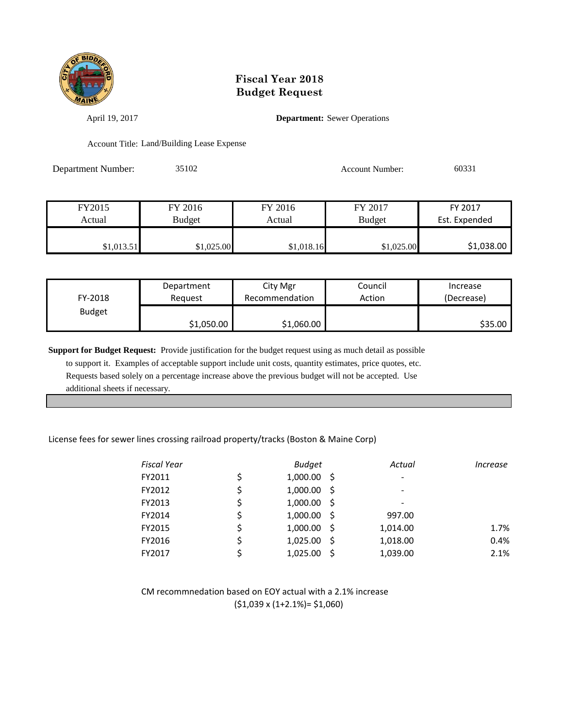

April 19, 2017 **Department:** Sewer Operations

Account Title: Land/Building Lease Expense

| <b>Department Number:</b> | 35102 | <b>Account Number:</b> | 60331 |
|---------------------------|-------|------------------------|-------|
|                           |       |                        |       |

| FY2015     | FY 2016       | FY 2016    | FY 2017       | FY 2017       |
|------------|---------------|------------|---------------|---------------|
| Actual     | <b>Budget</b> | Actual     | <b>Budget</b> | Est. Expended |
|            |               |            |               |               |
| \$1,013.51 | \$1,025.00    | \$1,018.16 | \$1,025.00    | \$1,038.00    |

| FY-2018       | Department | City Mgr       | Council | Increase   |
|---------------|------------|----------------|---------|------------|
|               | Reauest    | Recommendation | Action  | (Decrease) |
| <b>Budget</b> | \$1,050.00 | \$1,060.00     |         | \$35.00    |

**Support for Budget Request:** Provide justification for the budget request using as much detail as possible to support it. Examples of acceptable support include unit costs, quantity estimates, price quotes, etc. Requests based solely on a percentage increase above the previous budget will not be accepted. Use

additional sheets if necessary.

#### License fees for sewer lines crossing railroad property/tracks (Boston & Maine Corp)

| <b>Fiscal Year</b> | <b>Budget</b>  |     | Actual   | Increase |
|--------------------|----------------|-----|----------|----------|
| FY2011             | \$<br>1,000.00 | - S |          |          |
| FY2012             | \$<br>1,000.00 | - S |          |          |
| FY2013             | \$<br>1,000.00 | - S |          |          |
| FY2014             | \$<br>1,000.00 | - S | 997.00   |          |
| FY2015             | \$<br>1,000.00 | - S | 1,014.00 | 1.7%     |
| FY2016             | \$<br>1,025.00 | -S  | 1,018.00 | 0.4%     |
| FY2017             | 1,025.00       |     | 1,039.00 | 2.1%     |

CM recommnedation based on EOY actual with a 2.1% increase (\$1,039 x (1+2.1%)= \$1,060)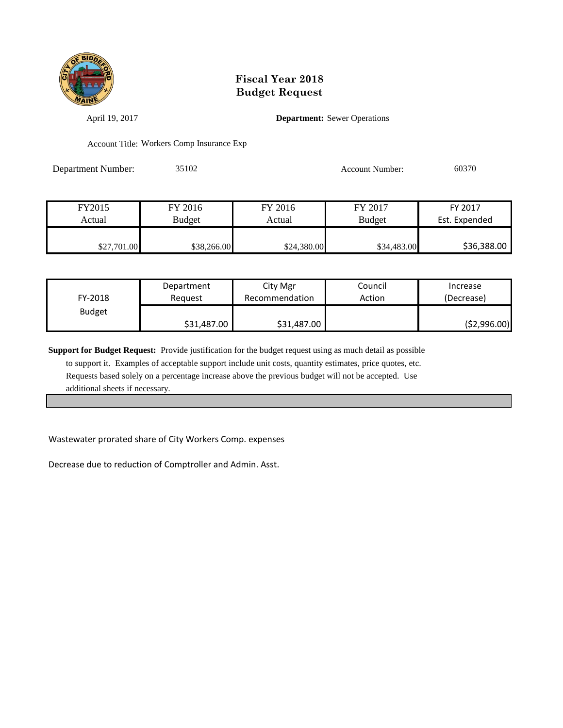

April 19, 2017 **Department:** Sewer Operations

Account Title: Workers Comp Insurance Exp

Department Number: 35102 Account Number: 60370

| FY2015      | FY 2016       | FY 2016     | FY 2017       | FY 2017       |
|-------------|---------------|-------------|---------------|---------------|
| Actual      | <b>Budget</b> | Actual      | <b>Budget</b> | Est. Expended |
|             |               |             |               |               |
| \$27,701.00 | \$38,266.00   | \$24,380.00 | \$34,483.00   | \$36,388.00   |

| FY-2018       | Department  | City Mgr       | Council | Increase      |
|---------------|-------------|----------------|---------|---------------|
|               | Reauest     | Recommendation | Action  | (Decrease)    |
| <b>Budget</b> | \$31,487.00 | \$31,487.00    |         | ( \$2,996.00) |

**Support for Budget Request:** Provide justification for the budget request using as much detail as possible

 to support it. Examples of acceptable support include unit costs, quantity estimates, price quotes, etc. Requests based solely on a percentage increase above the previous budget will not be accepted. Use additional sheets if necessary.

Wastewater prorated share of City Workers Comp. expenses

Decrease due to reduction of Comptroller and Admin. Asst.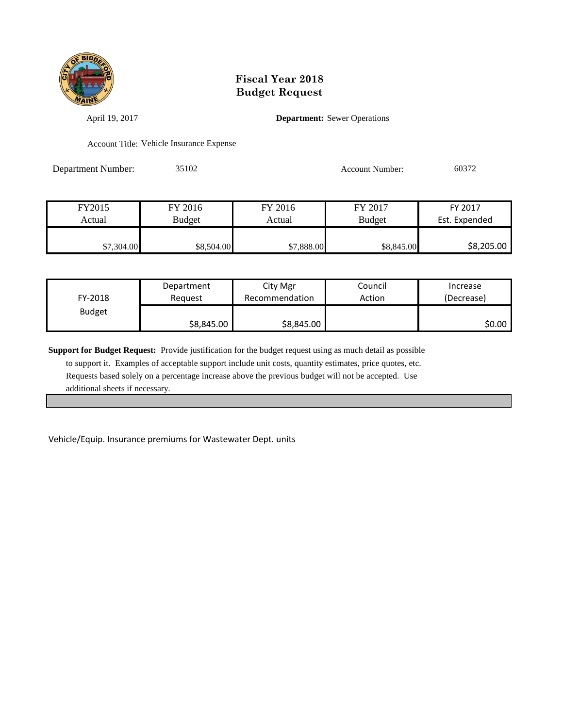

April 19, 2017 **Department:** Sewer Operations

Account Title: Vehicle Insurance Expense

Department Number: 35102 Account Number: 60372

| FY2015     | FY 2016       | FY 2016    | FY 2017       | FY 2017       |
|------------|---------------|------------|---------------|---------------|
| Actual     | <b>Budget</b> | Actual     | <b>Budget</b> | Est. Expended |
|            |               |            |               |               |
| \$7,304.00 | \$8,504.00    | \$7,888.00 | \$8,845.00    | \$8,205.00    |

| FY-2018       | Department | City Mgr       | Council | Increase   |
|---------------|------------|----------------|---------|------------|
|               | Reauest    | Recommendation | Action  | (Decrease) |
| <b>Budget</b> | \$8,845.00 | \$8,845.00     |         | SO.OO I    |

**Support for Budget Request:** Provide justification for the budget request using as much detail as possible to support it. Examples of acceptable support include unit costs, quantity estimates, price quotes, etc. Requests based solely on a percentage increase above the previous budget will not be accepted. Use additional sheets if necessary.

Vehicle/Equip. Insurance premiums for Wastewater Dept. units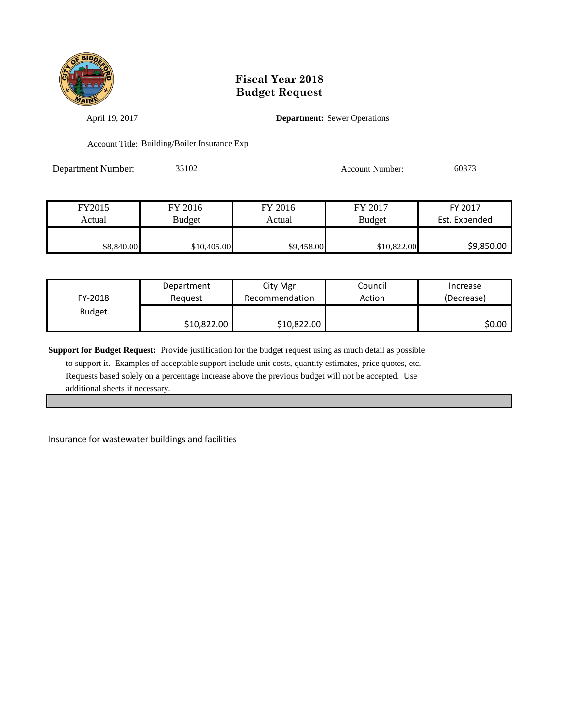

April 19, 2017 **Department:** Sewer Operations

Account Title: Building/Boiler Insurance Exp

Department Number: 35102 Account Number: 60373

| FY2015     | FY 2016       | FY 2016    | FY 2017       | FY 2017       |
|------------|---------------|------------|---------------|---------------|
| Actual     | <b>Budget</b> | Actual     | <b>Budget</b> | Est. Expended |
|            |               |            |               |               |
| \$8,840.00 | \$10,405.00   | \$9,458.00 | \$10,822.00   | \$9,850.00    |

| FY-2018       | Department  | City Mgr       | Council | Increase   |
|---------------|-------------|----------------|---------|------------|
|               | Reauest     | Recommendation | Action  | (Decrease) |
| <b>Budget</b> | \$10,822.00 | \$10,822.00    |         | \$0.00     |

**Support for Budget Request:** Provide justification for the budget request using as much detail as possible

 to support it. Examples of acceptable support include unit costs, quantity estimates, price quotes, etc. Requests based solely on a percentage increase above the previous budget will not be accepted. Use additional sheets if necessary.

Insurance for wastewater buildings and facilities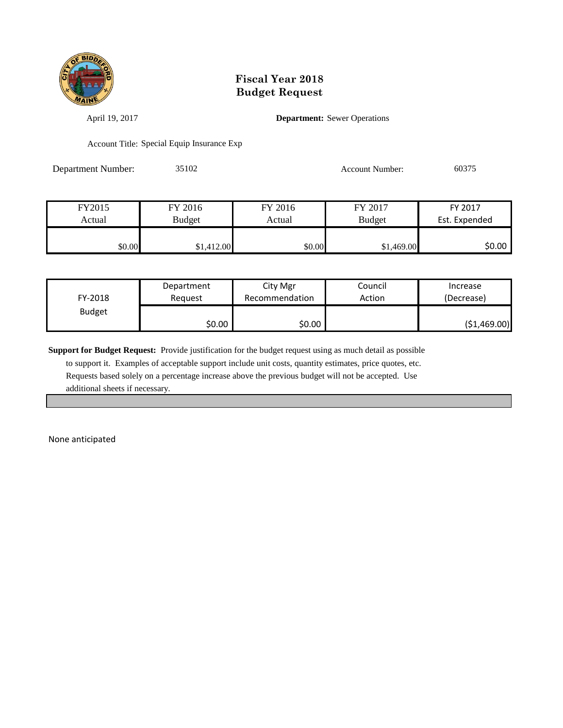

April 19, 2017 **Department:** Sewer Operations

Account Title: Special Equip Insurance Exp

Department Number: 35102 Account Number: 60375

| FY2015 | FY 2016       | FY 2016 | FY 2017       | FY 2017       |
|--------|---------------|---------|---------------|---------------|
| Actual | <b>Budget</b> | Actual  | <b>Budget</b> | Est. Expended |
|        |               |         |               |               |
| \$0.00 | \$1,412.00    | \$0.00  | \$1,469.00    | \$0.00        |

| FY-2018       | Department | City Mgr       | Council | Increase     |
|---------------|------------|----------------|---------|--------------|
|               | Reauest    | Recommendation | Action  | (Decrease)   |
| <b>Budget</b> | \$0.00     | \$0.00         |         | (51, 469.00) |

**Support for Budget Request:** Provide justification for the budget request using as much detail as possible

 to support it. Examples of acceptable support include unit costs, quantity estimates, price quotes, etc. Requests based solely on a percentage increase above the previous budget will not be accepted. Use additional sheets if necessary.

None anticipated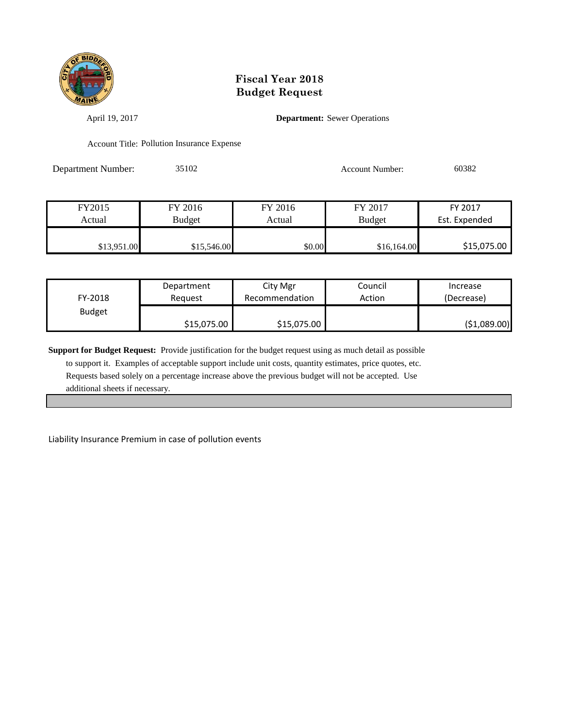

April 19, 2017 **Department:** Sewer Operations

Account Title: Pollution Insurance Expense

Department Number: 35102 Account Number: 60382

| FY2015      | FY 2016       | FY 2016 | FY 2017       | FY 2017       |
|-------------|---------------|---------|---------------|---------------|
| Actual      | <b>Budget</b> | Actual  | <b>Budget</b> | Est. Expended |
|             |               |         |               |               |
| \$13,951.00 | \$15,546.00   | \$0.00  | \$16,164.00   | \$15,075.00   |

| FY-2018       | Department  | City Mgr       | Council | Increase      |
|---------------|-------------|----------------|---------|---------------|
|               | Reauest     | Recommendation | Action  | (Decrease)    |
| <b>Budget</b> | \$15,075.00 | \$15,075.00    |         | ( \$1,089.00) |

**Support for Budget Request:** Provide justification for the budget request using as much detail as possible

 to support it. Examples of acceptable support include unit costs, quantity estimates, price quotes, etc. Requests based solely on a percentage increase above the previous budget will not be accepted. Use additional sheets if necessary.

Liability Insurance Premium in case of pollution events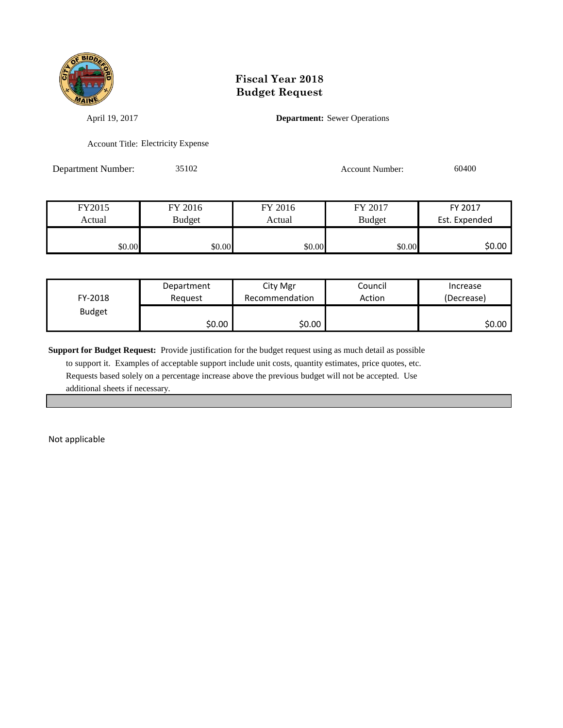

April 19, 2017 **Department:** Sewer Operations

Account Title: Electricity Expense

Department Number: 35102 Account Number: 60400

| FY2015 | FY 2016 | FY 2016 | FY 2017 | FY 2017       |
|--------|---------|---------|---------|---------------|
| Actual | Budget  | Actual  |         | Est. Expended |
|        |         |         |         |               |
| \$0.00 | \$0.00  | \$0.00  | \$0.00  | \$0.00 l      |

| FY-2018       | Department | City Mgr       | Council | Increase   |
|---------------|------------|----------------|---------|------------|
|               | Reguest    | Recommendation | Action  | (Decrease) |
| <b>Budget</b> | \$0.00     | \$0.00         |         | SO.OO      |

**Support for Budget Request:** Provide justification for the budget request using as much detail as possible

 to support it. Examples of acceptable support include unit costs, quantity estimates, price quotes, etc. Requests based solely on a percentage increase above the previous budget will not be accepted. Use additional sheets if necessary.

Not applicable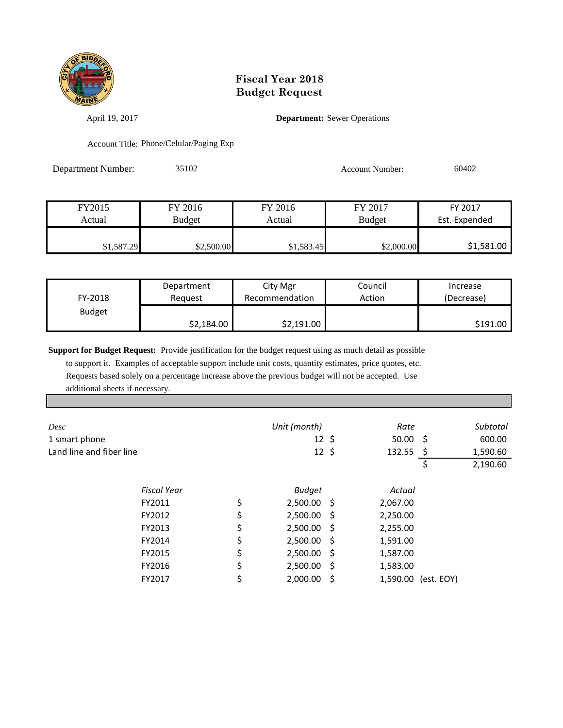

April 19, 2017 **Department:** Sewer Operations

Account Title: Phone/Celular/Paging Exp

Department Number: 35102 Account Number: 60402

FY2015 FY 2016 FY 2016 FY 2017 FY 2017 Actual Budget Actual Budget Est. Expended \$1,587.29 \$2,500.00 \$1,583.45 \$2,000.00 \$1,587.29 \$2,500.00

| FY-2018       | Department | City Mgr       | Council | Increase            |
|---------------|------------|----------------|---------|---------------------|
|               | Reguest    | Recommendation | Action  | (Decrease)          |
| <b>Budget</b> | \$2,184.00 | \$2,191.00     |         | S <sub>191.00</sub> |

**Support for Budget Request:** Provide justification for the budget request using as much detail as possible

 to support it. Examples of acceptable support include unit costs, quantity estimates, price quotes, etc. Requests based solely on a percentage increase above the previous budget will not be accepted. Use additional sheets if necessary.

| Desc                     |                    | Unit (month)        |      | Rate        |                     | Subtotal |
|--------------------------|--------------------|---------------------|------|-------------|---------------------|----------|
| 1 smart phone            |                    | $12 \;$ \$          |      | $50.00 \pm$ |                     | 600.00   |
| Land line and fiber line |                    | $12 \; \text{S}$    |      | $132.55$ \$ |                     | 1,590.60 |
|                          |                    |                     |      |             | \$                  | 2,190.60 |
|                          | <b>Fiscal Year</b> | <b>Budget</b>       |      | Actual      |                     |          |
|                          | FY2011             | \$<br>$2,500.00$ \$ |      | 2,067.00    |                     |          |
|                          | FY2012             | \$<br>2,500.00      | - \$ | 2,250.00    |                     |          |
|                          | FY2013             | \$<br>2,500.00      | - \$ | 2,255.00    |                     |          |
|                          | FY2014             | \$<br>$2,500.00$ \$ |      | 1,591.00    |                     |          |
|                          | FY2015             | \$<br>$2,500.00$ \$ |      | 1,587.00    |                     |          |
|                          | FY2016             | \$<br>2,500.00      | - \$ | 1,583.00    |                     |          |
|                          | FY2017             | \$<br>2,000.00      | -\$  |             | 1,590.00 (est. EOY) |          |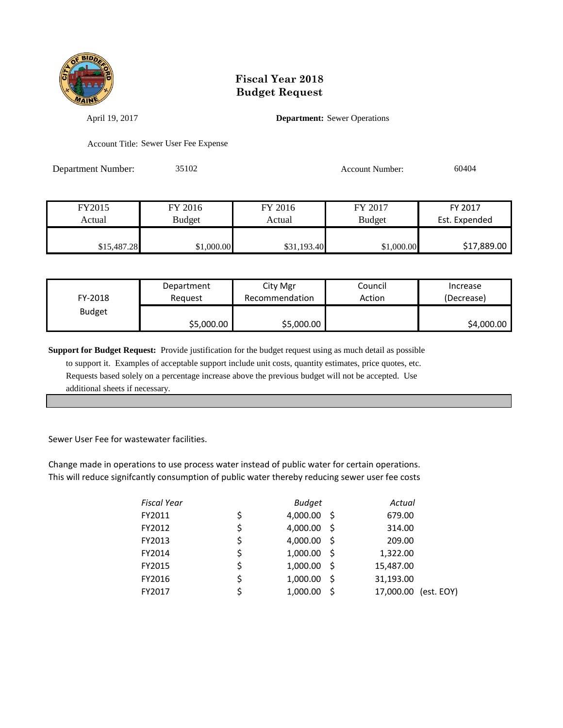

April 19, 2017 **Department:** Sewer Operations

Account Title: Sewer User Fee Expense

Department Number: 35102 Account Number: 60404

| FY2015      | FY 2016    | FY 2016     | FY 2017       | FY 2017       |
|-------------|------------|-------------|---------------|---------------|
| Actual      | Budget     | Actual      | <b>Budget</b> | Est. Expended |
|             |            |             |               |               |
| \$15,487.28 | \$1,000.00 | \$31,193.40 | \$1,000.00    | \$17,889.00   |

| FY-2018       | Department | City Mgr       | Council | Increase   |
|---------------|------------|----------------|---------|------------|
|               | Reauest    | Recommendation | Action  | (Decrease) |
| <b>Budget</b> | \$5,000.00 | \$5,000.00     |         | \$4,000.00 |

**Support for Budget Request:** Provide justification for the budget request using as much detail as possible to support it. Examples of acceptable support include unit costs, quantity estimates, price quotes, etc. Requests based solely on a percentage increase above the previous budget will not be accepted. Use additional sheets if necessary.

Sewer User Fee for wastewater facilities.

Change made in operations to use process water instead of public water for certain operations. This will reduce signifcantly consumption of public water thereby reducing sewer user fee costs

| <b>Fiscal Year</b> | <b>Budget</b>          | Actual    |            |
|--------------------|------------------------|-----------|------------|
| FY2011             | \$<br>4,000.00 \$      | 679.00    |            |
| FY2012             | \$<br>4,000.00<br>- \$ | 314.00    |            |
| FY2013             | \$<br>4,000.00 \$      | 209.00    |            |
| FY2014             | \$<br>$1,000.00$ \$    | 1,322.00  |            |
| FY2015             | \$<br>$1,000.00$ \$    | 15,487.00 |            |
| FY2016             | \$<br>1,000.00<br>- S  | 31,193.00 |            |
| FY2017             | \$<br>1,000.00<br>-Ś   | 17,000.00 | (est. EOY) |
|                    |                        |           |            |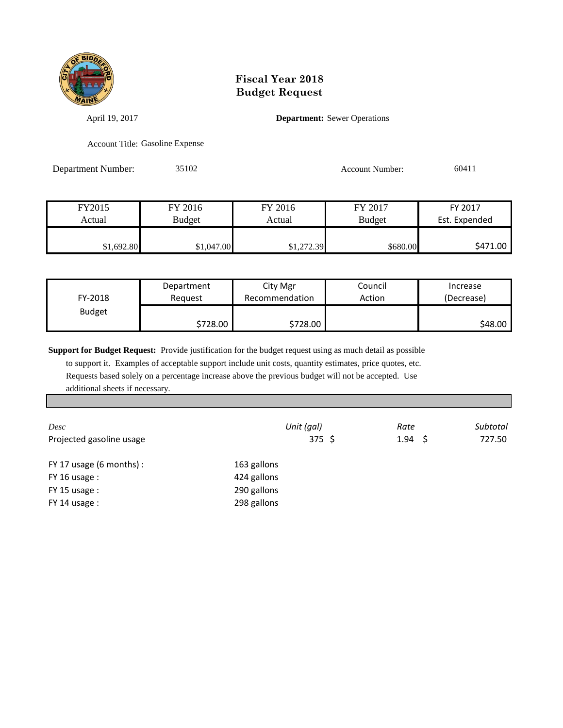

April 19, 2017 **Department:** Sewer Operations

Account Title: Gasoline Expense

Department Number: 35102 Account Number: 60411

| FY2015     | FY 2016       | FY 2016    | FY 2017       | FY 2017       |
|------------|---------------|------------|---------------|---------------|
| Actual     | <b>Budget</b> | Actual     | <b>Budget</b> | Est. Expended |
|            |               |            |               |               |
| \$1,692.80 | \$1,047.00    | \$1,272.39 | \$680.00      | \$471.00      |

| FY-2018       | Department               | City Mgr       | Council | Increase   |
|---------------|--------------------------|----------------|---------|------------|
|               | Reguest                  | Recommendation | Action  | (Decrease) |
| <b>Budget</b> | $$728.00$ $\blacksquare$ | \$728.00       |         | \$48.00    |

**Support for Budget Request:** Provide justification for the budget request using as much detail as possible

 to support it. Examples of acceptable support include unit costs, quantity estimates, price quotes, etc. Requests based solely on a percentage increase above the previous budget will not be accepted. Use additional sheets if necessary.

| Desc<br>Projected gasoline usage | Unit (gal)<br>375 \$ | Rate<br>$1.94 \quad$ \$ | Subtotal<br>727.50 |
|----------------------------------|----------------------|-------------------------|--------------------|
| FY 17 usage $(6$ months $):$     | 163 gallons          |                         |                    |
| FY 16 usage :                    | 424 gallons          |                         |                    |
| $FY$ 15 usage :                  | 290 gallons          |                         |                    |
| FY 14 usage:                     | 298 gallons          |                         |                    |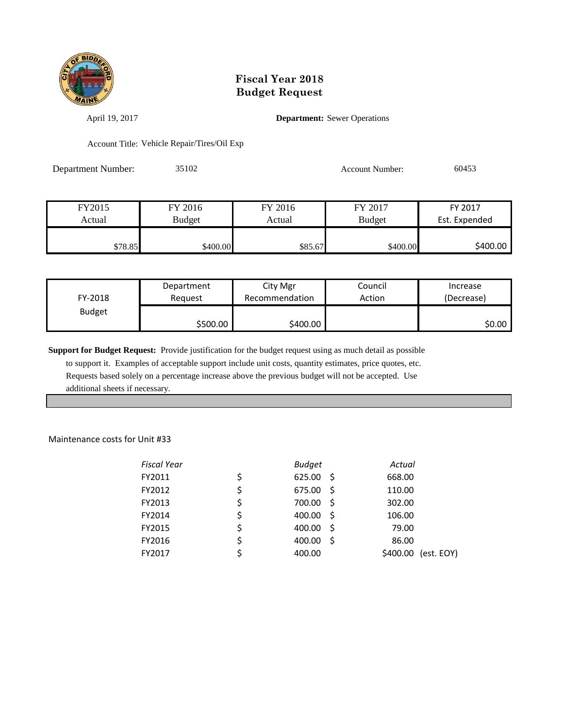

April 19, 2017 **Department:** Sewer Operations

Account Title: Vehicle Repair/Tires/Oil Exp

Department Number: 35102 Account Number: 60453

| FY2015  | FY 2016       | FY 2016 | FY 2017       | FY 2017       |
|---------|---------------|---------|---------------|---------------|
| Actual  | <b>Budget</b> | Actual  | <b>Budget</b> | Est. Expended |
|         |               |         |               |               |
| \$78.85 | \$400.00      | \$85.67 | \$400.00      | \$400.00      |

| FY-2018       | Department | City Mgr       | Council | Increase   |
|---------------|------------|----------------|---------|------------|
|               | Reauest    | Recommendation | Action  | (Decrease) |
| <b>Budget</b> | \$500.00   | \$400.00       |         | \$0.00     |

**Support for Budget Request:** Provide justification for the budget request using as much detail as possible to support it. Examples of acceptable support include unit costs, quantity estimates, price quotes, etc.

 Requests based solely on a percentage increase above the previous budget will not be accepted. Use additional sheets if necessary.

Maintenance costs for Unit #33

| <b>Fiscal Year</b> | <b>Budget</b>        | Actual                 |
|--------------------|----------------------|------------------------|
| FY2011             | \$<br>625.00<br>- S  | 668.00                 |
| FY2012             | \$<br>675.00<br>- S  | 110.00                 |
| FY2013             | \$<br>700.00<br>- S  | 302.00                 |
| FY2014             | \$<br>400.00<br>- \$ | 106.00                 |
| FY2015             | \$<br>400.00<br>- \$ | 79.00                  |
| FY2016             | \$<br>400.00<br>-S   | 86.00                  |
| FY2017             | 400.00               | \$400.00<br>(est. EOY) |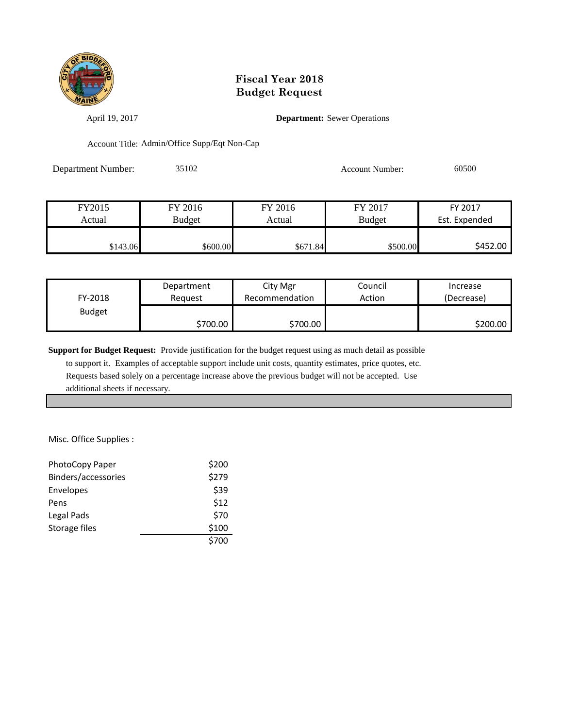

April 19, 2017 **Department:** Sewer Operations

Account Title: Admin/Office Supp/Eqt Non-Cap

Department Number: 35102 Account Number: 60500

| FY2015   | FY 2016  | FY 2016  | FY 2017       | FY 2017       |
|----------|----------|----------|---------------|---------------|
| Actual   | Budget   | Actual   | <b>Budget</b> | Est. Expended |
|          |          |          |               |               |
| \$143.06 | \$600.00 | \$671.84 | \$500.00      | S452.00       |

| FY-2018       | Department | City Mgr       | Council | Increase   |
|---------------|------------|----------------|---------|------------|
|               | Reauest    | Recommendation | Action  | (Decrease) |
| <b>Budget</b> | \$700.00   | \$700.00       |         | \$200.00   |

**Support for Budget Request:** Provide justification for the budget request using as much detail as possible

 to support it. Examples of acceptable support include unit costs, quantity estimates, price quotes, etc. Requests based solely on a percentage increase above the previous budget will not be accepted. Use additional sheets if necessary.

Misc. Office Supplies :

| PhotoCopy Paper     | \$200 |
|---------------------|-------|
| Binders/accessories | \$279 |
| Envelopes           | \$39  |
| Pens                | \$12  |
| Legal Pads          | \$70  |
| Storage files       | \$100 |
|                     | \$700 |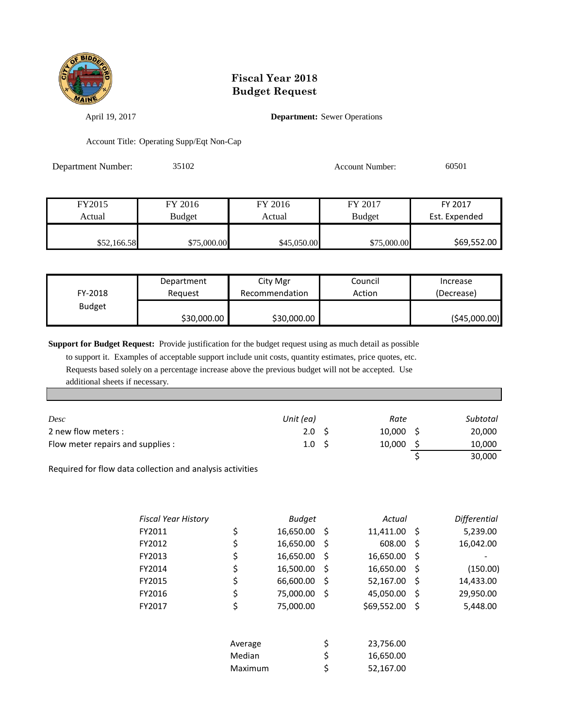

April 19, 2017 **Department:** Sewer Operations

Account Title: Operating Supp/Eqt Non-Cap

| Department Number: | 35102         |             | <b>Account Number:</b> | 60501         |  |
|--------------------|---------------|-------------|------------------------|---------------|--|
|                    |               |             |                        |               |  |
| FY2015             | FY 2016       | FY 2016     | FY 2017                | FY 2017       |  |
| Actual             | <b>Budget</b> | Actual      | <b>Budget</b>          | Est. Expended |  |
| \$52,166.58        | \$75,000.00   | \$45,050.00 | \$75,000.00            | \$69,552.00   |  |

| FY-2018       | Department  | City Mgr       | Council | Increase     |
|---------------|-------------|----------------|---------|--------------|
|               | Reauest     | Recommendation | Action  | (Decrease)   |
| <b>Budget</b> | \$30,000.00 | \$30,000.00    |         | (545,000.00) |

**Support for Budget Request:** Provide justification for the budget request using as much detail as possible

 to support it. Examples of acceptable support include unit costs, quantity estimates, price quotes, etc. Requests based solely on a percentage increase above the previous budget will not be accepted. Use additional sheets if necessary.

| Desc                              | Unit (ea)        | Rate        | Subtotal |
|-----------------------------------|------------------|-------------|----------|
| 2 new flow meters :               | 2.0 <sup>5</sup> | $10,000$ \$ | 20,000   |
| Flow meter repairs and supplies : | 1.0 <sub>5</sub> | 10,000      | 10,000   |
|                                   |                  |             | 30,000   |

Required for flow data collection and analysis activities

| <b>Fiscal Year History</b> |         | <b>Budget</b> |     | Actual      |     | <b>Differential</b> |
|----------------------------|---------|---------------|-----|-------------|-----|---------------------|
| FY2011                     | \$      | 16,650.00     | -\$ | 11,411.00   | -\$ | 5,239.00            |
| FY2012                     | \$      | 16,650.00     | \$  | 608.00      | \$  | 16,042.00           |
| FY2013                     | \$      | 16,650.00     | \$  | 16,650.00   | \$  |                     |
| FY2014                     | \$      | 16,500.00     | \$  | 16,650.00   | \$  | (150.00)            |
| FY2015                     | \$      | 66,600.00     | \$  | 52,167.00   | \$  | 14,433.00           |
| FY2016                     | \$      | 75,000.00     | \$  | 45,050.00   | \$  | 29,950.00           |
| FY2017                     | \$      | 75,000.00     |     | \$69,552.00 | \$  | 5,448.00            |
|                            |         |               |     |             |     |                     |
|                            | Average |               | \$  | 23,756.00   |     |                     |
|                            | Median  |               | \$  | 16,650.00   |     |                     |
|                            | Maximum |               | \$  | 52,167.00   |     |                     |
|                            |         |               |     |             |     |                     |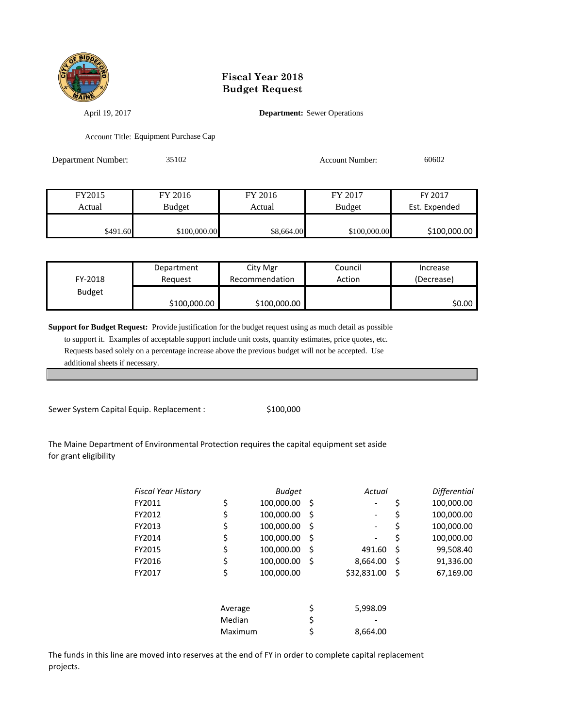

April 19, 2017 **Department:** Sewer Operations

Account Title: Equipment Purchase Cap

| Department Number:<br>35102 |               |            | <b>Account Number:</b> | 60602         |  |
|-----------------------------|---------------|------------|------------------------|---------------|--|
|                             |               |            |                        |               |  |
| FY2015                      | FY 2016       | FY 2016    | FY 2017                | FY 2017       |  |
| Actual                      | <b>Budget</b> | Actual     | <b>Budget</b>          | Est. Expended |  |
| \$491.60                    | \$100,000.00  | \$8,664.00 | \$100,000.00           | \$100,000.00  |  |

| FY-2018       | Department   | City Mgr       | Council | Increase   |
|---------------|--------------|----------------|---------|------------|
|               | Reauest      | Recommendation | Action  | (Decrease) |
| <b>Budget</b> | \$100,000.00 | \$100,000.00   |         | \$0.00     |

**Support for Budget Request:** Provide justification for the budget request using as much detail as possible

 to support it. Examples of acceptable support include unit costs, quantity estimates, price quotes, etc. Requests based solely on a percentage increase above the previous budget will not be accepted. Use additional sheets if necessary.

Sewer System Capital Equip. Replacement :  $$100,000$ 

#### The Maine Department of Environmental Protection requires the capital equipment set aside for grant eligibility

| <b>Fiscal Year History</b> |         | <b>Budget</b> |    | Actual      |    | <b>Differential</b> |
|----------------------------|---------|---------------|----|-------------|----|---------------------|
| FY2011                     | \$      | 100,000.00    | \$ |             | \$ | 100,000.00          |
| FY2012                     | \$      | 100,000.00    | S  |             | Ş  | 100,000.00          |
| FY2013                     | \$      | 100,000.00    | S  |             | Ş  | 100,000.00          |
| FY2014                     | \$      | 100,000.00    | S  |             | \$ | 100,000.00          |
| FY2015                     | \$      | 100,000.00    | S  | 491.60      | \$ | 99,508.40           |
| FY2016                     | \$      | 100,000.00    | -S | 8,664.00    | \$ | 91,336.00           |
| FY2017                     | \$      | 100,000.00    |    | \$32,831.00 | \$ | 67,169.00           |
|                            | Average |               | \$ | 5,998.09    |    |                     |
|                            | Median  |               | \$ |             |    |                     |
|                            | Maximum |               |    | 8,664.00    |    |                     |

The funds in this line are moved into reserves at the end of FY in order to complete capital replacement projects.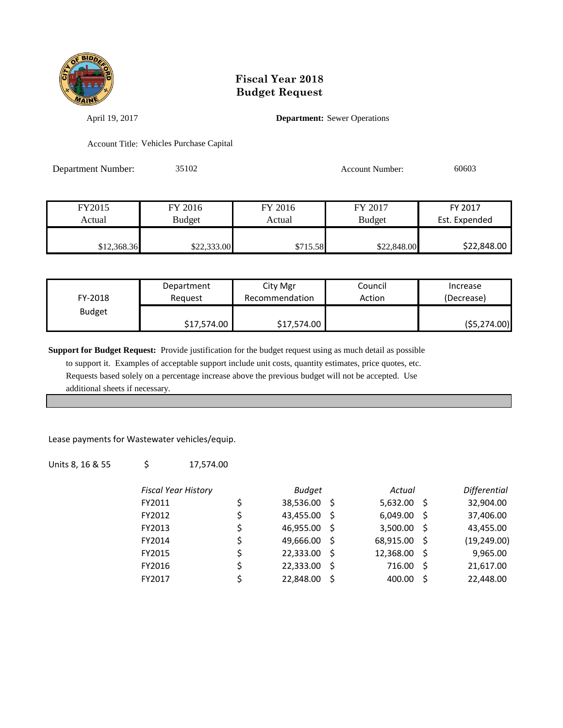

April 19, 2017 **Department:** Sewer Operations

Account Title: Vehicles Purchase Capital

Department Number: 35102 Account Number: 60603

| FY2015      | FY 2016     | FY 2016  | FY 2017       | FY 2017       |
|-------------|-------------|----------|---------------|---------------|
| Actual      | Budget      | Actual   | <b>Budget</b> | Est. Expended |
|             |             |          |               |               |
| \$12,368.36 | \$22,333.00 | \$715.58 | \$22,848.00   | \$22,848.00   |

| FY-2018       | Department<br>Reauest | City Mgr<br>Council<br>Action<br>Recommendation |  | Increase<br>(Decrease) |
|---------------|-----------------------|-------------------------------------------------|--|------------------------|
| <b>Budget</b> | \$17,574.00           | \$17,574.00                                     |  | (55, 274.00)           |

**Support for Budget Request:** Provide justification for the budget request using as much detail as possible

 to support it. Examples of acceptable support include unit costs, quantity estimates, price quotes, etc. Requests based solely on a percentage increase above the previous budget will not be accepted. Use additional sheets if necessary.

Lease payments for Wastewater vehicles/equip.

Units 8, 16 & 55  $\frac{17,574.00}{ }$ 

| <b>Fiscal Year History</b> | <b>Budget</b>      |      | Actual    |     | <b>Differential</b> |
|----------------------------|--------------------|------|-----------|-----|---------------------|
| FY2011                     | \$<br>38,536.00 \$ |      | 5,632.00  | - S | 32,904.00           |
| FY2012                     | \$<br>43,455.00 \$ |      | 6,049.00  | -S  | 37,406.00           |
| FY2013                     | \$<br>46,955.00    | - S  | 3,500.00  | - Ś | 43,455.00           |
| FY2014                     | \$<br>49,666.00    | - \$ | 68,915.00 | - Ś | (19, 249.00)        |
| FY2015                     | \$<br>22,333.00    | - \$ | 12,368.00 | -Ś  | 9,965.00            |
| FY2016                     | \$<br>22,333.00    | - S  | 716.00    | Ŝ.  | 21,617.00           |
| FY2017                     | \$<br>22,848.00    | Ŝ    | 400.00    | Ś   | 22,448.00           |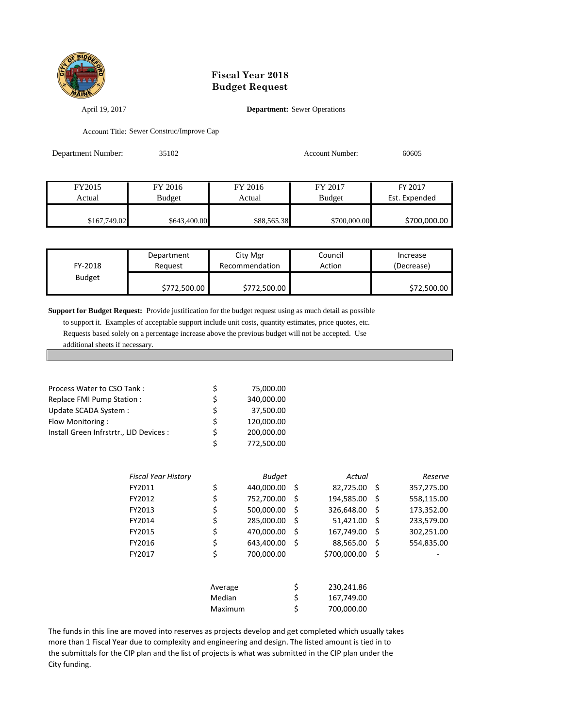

#### April 19, 2017 **Department:** Sewer Operations

Account Title: Sewer Construc/Improve Cap

| 35102<br>Department Number: |               | <b>Account Number:</b> |               | 60605         |  |
|-----------------------------|---------------|------------------------|---------------|---------------|--|
|                             |               |                        |               |               |  |
| FY2015                      | FY 2016       | FY 2016                | FY 2017       | FY 2017       |  |
| Actual                      | <b>Budget</b> | Actual                 | <b>Budget</b> | Est. Expended |  |
| \$167,749.02                | \$643,400.00  | \$88,565.38            | \$700,000.00  | \$700,000.00  |  |

| FY-2018       | Department   | City Mgr       | Council | Increase    |
|---------------|--------------|----------------|---------|-------------|
|               | Reauest      | Recommendation | Action  | (Decrease)  |
| <b>Budget</b> | \$772,500.00 | \$772,500.00   |         | \$72,500.00 |

**Support for Budget Request:** Provide justification for the budget request using as much detail as possible

 to support it. Examples of acceptable support include unit costs, quantity estimates, price quotes, etc. Requests based solely on a percentage increase above the previous budget will not be accepted. Use additional sheets if necessary.

| Process Water to CSO Tank:              | S | 75,000.00  |
|-----------------------------------------|---|------------|
| Replace FMI Pump Station:               | S | 340,000.00 |
| Update SCADA System :                   | Ś | 37,500.00  |
| Flow Monitoring:                        | Ś | 120,000.00 |
| Install Green Infrstrtr., LID Devices : | ς | 200,000.00 |
|                                         | Ś | 772,500.00 |

| Fiscal Year History |         | <b>Budget</b> |      | Actual       |     | Reserve    |
|---------------------|---------|---------------|------|--------------|-----|------------|
| FY2011              | \$      | 440,000.00    | - \$ | 82,725.00 \$ |     | 357,275.00 |
| FY2012              | \$      | 752,700.00    | \$   | 194,585.00   | -\$ | 558,115.00 |
| FY2013              | \$      | 500,000.00    | \$   | 326,648.00   | Š.  | 173,352.00 |
| FY2014              | \$      | 285.000.00    | \$   | 51,421.00    | Ŝ   | 233,579.00 |
| FY2015              | \$      | 470,000.00    | \$   | 167,749.00   | Ŝ   | 302,251.00 |
| FY2016              | \$      | 643,400.00    | Ś    | 88,565.00    | Ŝ   | 554,835.00 |
| FY2017              | \$      | 700,000.00    |      | \$700,000.00 | \$  |            |
|                     | Average |               | \$   | 230,241.86   |     |            |
|                     | Median  |               | \$   | 167,749.00   |     |            |
|                     | Maximum |               | \$   | 700.000.00   |     |            |

The funds in this line are moved into reserves as projects develop and get completed which usually takes more than 1 Fiscal Year due to complexity and engineering and design. The listed amount is tied in to the submittals for the CIP plan and the list of projects is what was submitted in the CIP plan under the City funding.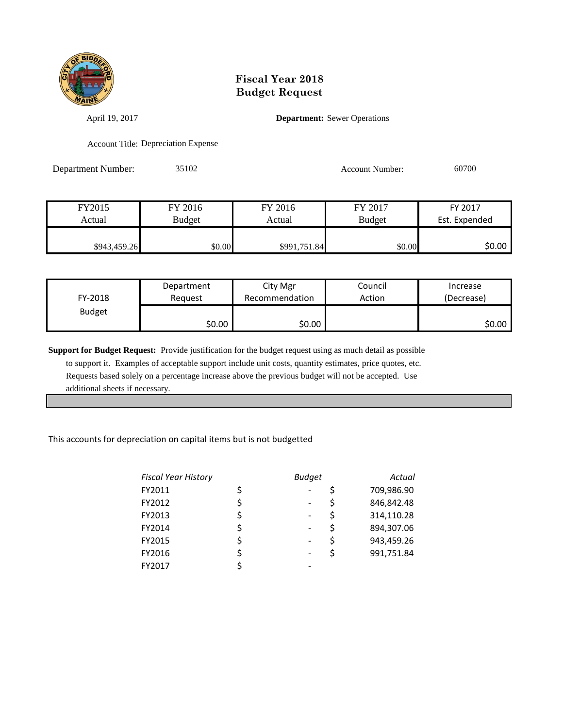

April 19, 2017 **Department:** Sewer Operations

Account Title: Depreciation Expense

Department Number: 35102 Account Number: 60700

| FY2015       | FY 2016       | FY 2016      | FY 2017       | FY 2017       |
|--------------|---------------|--------------|---------------|---------------|
| Actual       | <b>Budget</b> | Actual       | <b>Budget</b> | Est. Expended |
|              |               |              |               |               |
| \$943,459.26 | \$0.00        | \$991,751.84 | \$0.00        | \$0.00        |

| FY-2018       | Department | City Mgr       | Council | Increase   |
|---------------|------------|----------------|---------|------------|
|               | Reguest    | Recommendation | Action  | (Decrease) |
| <b>Budget</b> | \$0.00     | \$0.00         |         | SO.OO      |

**Support for Budget Request:** Provide justification for the budget request using as much detail as possible to support it. Examples of acceptable support include unit costs, quantity estimates, price quotes, etc. Requests based solely on a percentage increase above the previous budget will not be accepted. Use additional sheets if necessary.

#### This accounts for depreciation on capital items but is not budgetted

| <b>Fiscal Year History</b> |   | <b>Budget</b> |    | Actual     |
|----------------------------|---|---------------|----|------------|
| FY2011                     |   |               |    | 709,986.90 |
| FY2012                     |   |               | \$ | 846,842.48 |
| FY2013                     | Ś | -             | \$ | 314,110.28 |
| FY2014                     |   |               | \$ | 894,307.06 |
| FY2015                     |   |               | Ś  | 943,459.26 |
| FY2016                     |   |               | S  | 991,751.84 |
| FY2017                     |   |               |    |            |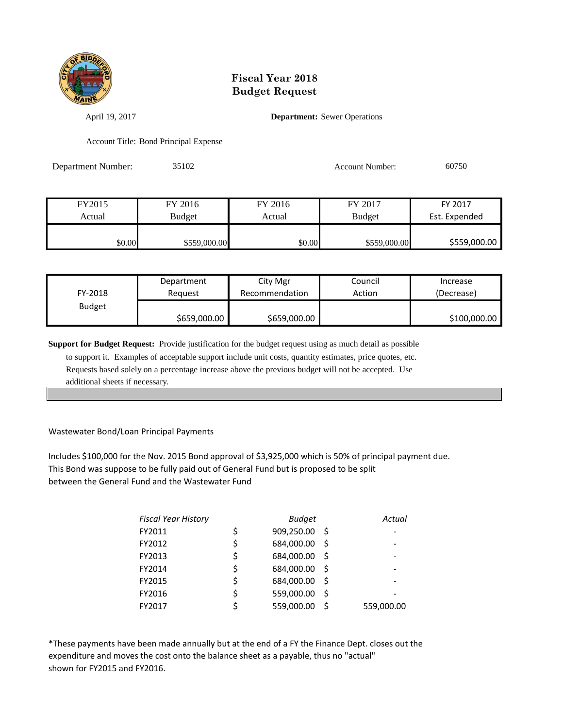

April 19, 2017 **Department:** Sewer Operations

Account Title: Bond Principal Expense

| Department Number: | 35102         |         | <b>Account Number:</b> | 60750         |  |
|--------------------|---------------|---------|------------------------|---------------|--|
|                    |               |         |                        |               |  |
| FY2015             | FY 2016       | FY 2016 | FY 2017                | FY 2017       |  |
| Actual             | <b>Budget</b> | Actual  | <b>Budget</b>          | Est. Expended |  |
| \$0.00             | \$559,000.00  | \$0.00  | \$559,000.00           | \$559,000.00  |  |

| FY-2018       | Department   | City Mgr       | Council | Increase     |
|---------------|--------------|----------------|---------|--------------|
|               | Reauest      | Recommendation | Action  | (Decrease)   |
| <b>Budget</b> | \$659,000.00 | \$659,000.00   |         | \$100,000.00 |

**Support for Budget Request:** Provide justification for the budget request using as much detail as possible

 to support it. Examples of acceptable support include unit costs, quantity estimates, price quotes, etc. Requests based solely on a percentage increase above the previous budget will not be accepted. Use additional sheets if necessary.

#### Wastewater Bond/Loan Principal Payments

Includes \$100,000 for the Nov. 2015 Bond approval of \$3,925,000 which is 50% of principal payment due. This Bond was suppose to be fully paid out of General Fund but is proposed to be split between the General Fund and the Wastewater Fund

| <b>Fiscal Year History</b> | <b>Budget</b>    |     | Actual     |
|----------------------------|------------------|-----|------------|
| FY2011                     | \$<br>909,250.00 | Ŝ.  |            |
| FY2012                     | \$<br>684,000.00 | Ŝ.  |            |
| FY2013                     | \$<br>684,000.00 | Ŝ   |            |
| FY2014                     | \$<br>684,000.00 | \$. |            |
| FY2015                     | \$<br>684,000.00 | Ś   |            |
| FY2016                     | \$<br>559,000.00 | Ś   |            |
| FY2017                     | 559,000.00       |     | 559,000.00 |

\*These payments have been made annually but at the end of a FY the Finance Dept. closes out the expenditure and moves the cost onto the balance sheet as a payable, thus no "actual" shown for FY2015 and FY2016.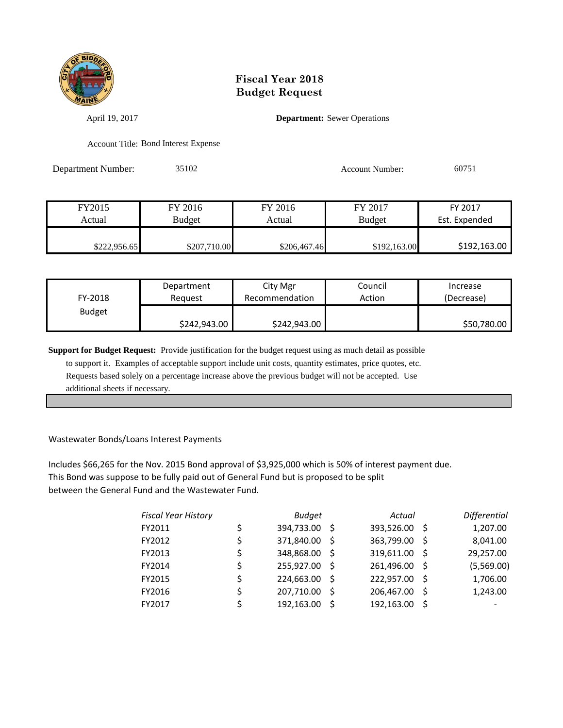

April 19, 2017 **Department:** Sewer Operations

Account Title: Bond Interest Expense

Department Number: 35102 Account Number: 60751

| FY2015       | FY 2016       | FY 2016      | FY 2017       | FY 2017       |
|--------------|---------------|--------------|---------------|---------------|
| Actual       | <b>Budget</b> | Actual       | <b>Budget</b> | Est. Expended |
|              |               |              |               |               |
| \$222,956.65 | \$207,710.00  | \$206,467.46 | \$192,163.00  | \$192,163.00  |

| FY-2018       | Department   |              | Council | Increase    |
|---------------|--------------|--------------|---------|-------------|
|               | Reauest      |              | Action  | (Decrease)  |
| <b>Budget</b> | \$242,943.00 | \$242,943.00 |         | \$50,780.00 |

**Support for Budget Request:** Provide justification for the budget request using as much detail as possible

 to support it. Examples of acceptable support include unit costs, quantity estimates, price quotes, etc. Requests based solely on a percentage increase above the previous budget will not be accepted. Use additional sheets if necessary.

#### Wastewater Bonds/Loans Interest Payments

Includes \$66,265 for the Nov. 2015 Bond approval of \$3,925,000 which is 50% of interest payment due. This Bond was suppose to be fully paid out of General Fund but is proposed to be split between the General Fund and the Wastewater Fund.

|    | <b>Budget</b> |     | Actual              |    | Differential |
|----|---------------|-----|---------------------|----|--------------|
| Ś  |               |     | 393,526.00          | -S | 1,207.00     |
| \$ | 371,840.00    | -S  | 363,799.00          | -S | 8,041.00     |
|    | 348,868.00    | - S | 319,611.00          | -Ś | 29,257.00    |
| Ś  | 255,927.00    | -S  | 261,496.00          | -S | (5,569.00)   |
| Ś  | 224,663.00    | -S  | 222,957.00          | -S | 1,706.00     |
|    | 207,710.00    |     | 206,467.00          | -S | 1,243.00     |
|    | 192,163.00    | S   | 192,163.00          | .S |              |
|    |               |     | 394,733.00 \$<br>\$ |    |              |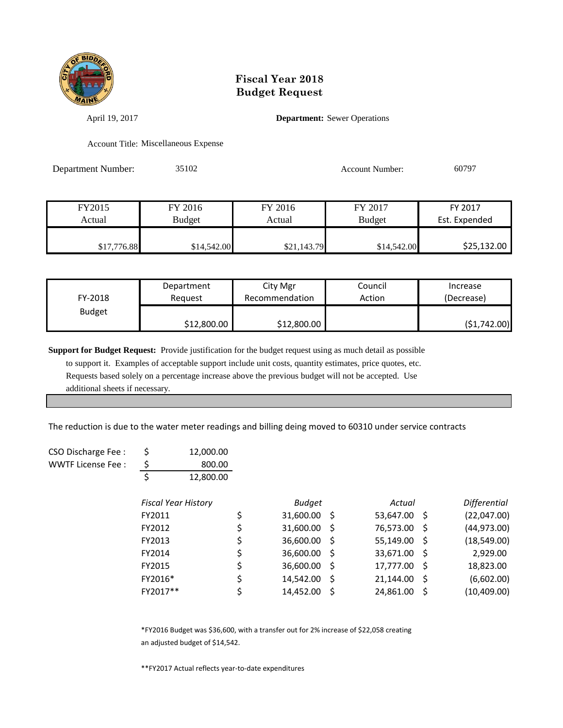

April 19, 2017 **Department:** Sewer Operations

Account Title: Miscellaneous Expense

Department Number: 35102 Account Number: 60797

| FY2015      | FY 2016       | FY 2016     | FY 2017       | FY 2017       |
|-------------|---------------|-------------|---------------|---------------|
| Actual      | <b>Budget</b> | Actual      | <b>Budget</b> | Est. Expended |
|             |               |             |               |               |
| \$17,776.88 | \$14,542.00   | \$21,143.79 | \$14,542.00   | \$25,132.00   |

| FY-2018       | Department  | City Mgr       | Council | Increase    |
|---------------|-------------|----------------|---------|-------------|
|               | Reauest     | Recommendation | Action  | (Decrease)  |
| <b>Budget</b> | \$12,800.00 | \$12,800.00    |         | (51,742.00) |

**Support for Budget Request:** Provide justification for the budget request using as much detail as possible

 to support it. Examples of acceptable support include unit costs, quantity estimates, price quotes, etc. Requests based solely on a percentage increase above the previous budget will not be accepted. Use additional sheets if necessary.

The reduction is due to the water meter readings and billing deing moved to 60310 under service contracts

| CSO Discharge Fee: |   | 12,000.00 |
|--------------------|---|-----------|
| WWTF License Fee:  | S | 800.00    |
|                    |   | 12,800.00 |

| <b>Fiscal Year History</b> |    | <b>Budget</b> |      | Actual       |              | <b>Differential</b> |
|----------------------------|----|---------------|------|--------------|--------------|---------------------|
| FY2011                     | \$ | 31,600.00     | - S  | 53,647.00 \$ |              | (22,047.00)         |
| FY2012                     | \$ | 31,600.00     | - \$ | 76,573.00    | -S           | (44, 973.00)        |
| FY2013                     | \$ | 36,600.00     | -S   | 55,149.00    | -S           | (18,549.00)         |
| FY2014                     | \$ | 36,600.00     | - \$ | 33,671.00    | -Ś           | 2,929.00            |
| FY2015                     | \$ | 36,600.00     | -S   | 17,777.00    | -S           | 18,823.00           |
| FY2016*                    | \$ | 14,542.00     | -S   | 21,144.00    | <sub>S</sub> | (6,602.00)          |
| FY2017**                   | Ś  | 14,452.00     | -S   | 24,861.00    | S.           | (10, 409.00)        |

\*FY2016 Budget was \$36,600, with a transfer out for 2% increase of \$22,058 creating an adjusted budget of \$14,542.

\*\*FY2017 Actual reflects year-to-date expenditures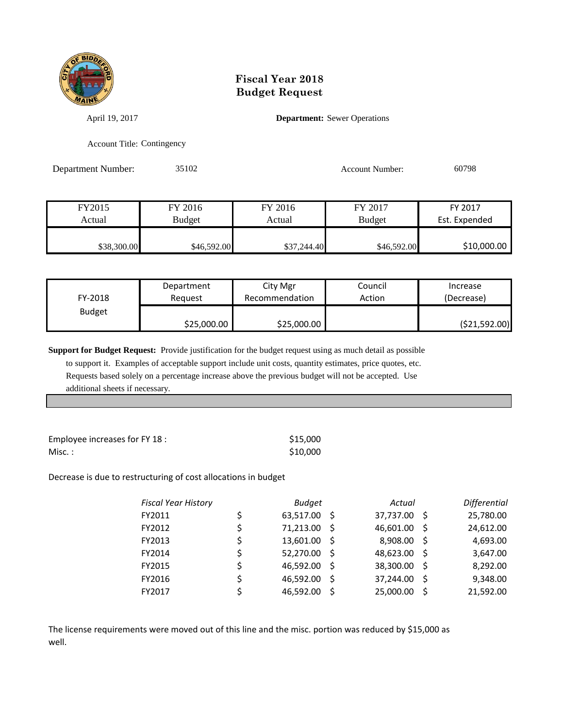

April 19, 2017 **Department:** Sewer Operations

Account Title: Contingency

Department Number: 35102 Account Number: 60798

| FY2015      | FY 2016       | FY 2016     | FY 2017       | FY 2017       |
|-------------|---------------|-------------|---------------|---------------|
| Actual      | <b>Budget</b> | Actual      | <b>Budget</b> | Est. Expended |
|             |               |             |               |               |
| \$38,300.00 | \$46,592.00   | \$37,244.40 | \$46,592.00   | \$10,000.00   |

| FY-2018       | Department  | City Mgr       | Council | Increase       |
|---------------|-------------|----------------|---------|----------------|
|               | Reauest     | Recommendation | Action  | (Decrease)     |
| <b>Budget</b> | \$25,000.00 | \$25,000.00    |         | ( \$21,592.00) |

**Support for Budget Request:** Provide justification for the budget request using as much detail as possible

 to support it. Examples of acceptable support include unit costs, quantity estimates, price quotes, etc. Requests based solely on a percentage increase above the previous budget will not be accepted. Use additional sheets if necessary.

| Employee increases for FY 18 : | \$15.000 |
|--------------------------------|----------|
| Misc. :                        | \$10,000 |

Decrease is due to restructuring of cost allocations in budget

| <b>Fiscal Year History</b> |    | <b>Budget</b> |      | Actual    |     | Differential |
|----------------------------|----|---------------|------|-----------|-----|--------------|
| FY2011                     | \$ | 63,517.00 \$  |      | 37,737.00 | - S | 25,780.00    |
| FY2012                     | \$ | 71,213.00 \$  |      | 46,601.00 | -S  | 24,612.00    |
| FY2013                     | \$ | 13,601.00 \$  |      | 8,908.00  | -S  | 4,693.00     |
| FY2014                     | \$ | 52,270.00 \$  |      | 48,623.00 | - S | 3,647.00     |
| FY2015                     | \$ | 46,592.00     | - S  | 38,300.00 | - S | 8,292.00     |
| FY2016                     | Ś  | 46,592.00     | - \$ | 37,244.00 | -Ś  | 9,348.00     |
| FY2017                     | Ś  | 46,592.00     | Ŝ.   | 25,000.00 | .S  | 21,592.00    |
|                            |    |               |      |           |     |              |

The license requirements were moved out of this line and the misc. portion was reduced by \$15,000 as well.